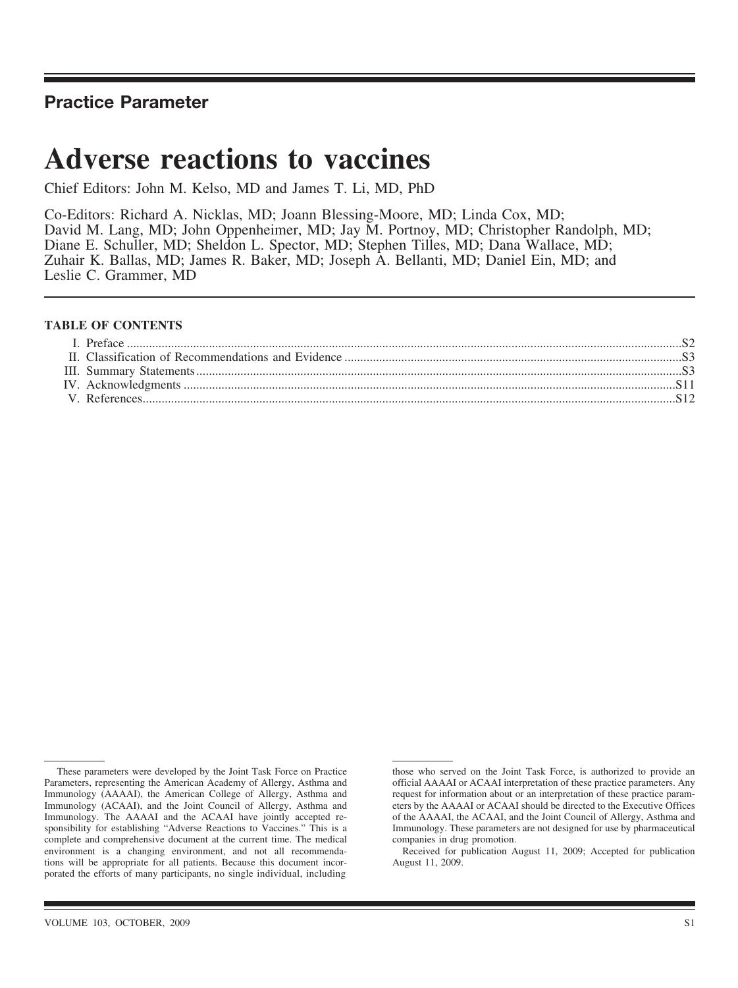# **Practice Parameter**

# **Adverse reactions to vaccines**

Chief Editors: John M. Kelso, MD and James T. Li, MD, PhD

Co-Editors: Richard A. Nicklas, MD; Joann Blessing-Moore, MD; Linda Cox, MD; David M. Lang, MD; John Oppenheimer, MD; Jay M. Portnoy, MD; Christopher Randolph, MD; Diane E. Schuller, MD; Sheldon L. Spector, MD; Stephen Tilles, MD; Dana Wallace, MD; Zuhair K. Ballas, MD; James R. Baker, MD; Joseph A. Bellanti, MD; Daniel Ein, MD; and Leslie C. Grammer, MD

### **TABLE OF CONTENTS**

These parameters were developed by the Joint Task Force on Practice Parameters, representing the American Academy of Allergy, Asthma and Immunology (AAAAI), the American College of Allergy, Asthma and Immunology (ACAAI), and the Joint Council of Allergy, Asthma and Immunology. The AAAAI and the ACAAI have jointly accepted responsibility for establishing "Adverse Reactions to Vaccines." This is a complete and comprehensive document at the current time. The medical environment is a changing environment, and not all recommendations will be appropriate for all patients. Because this document incorporated the efforts of many participants, no single individual, including

those who served on the Joint Task Force, is authorized to provide an official AAAAI or ACAAI interpretation of these practice parameters. Any request for information about or an interpretation of these practice parameters by the AAAAI or ACAAI should be directed to the Executive Offices of the AAAAI, the ACAAI, and the Joint Council of Allergy, Asthma and Immunology. These parameters are not designed for use by pharmaceutical companies in drug promotion.

Received for publication August 11, 2009; Accepted for publication August 11, 2009.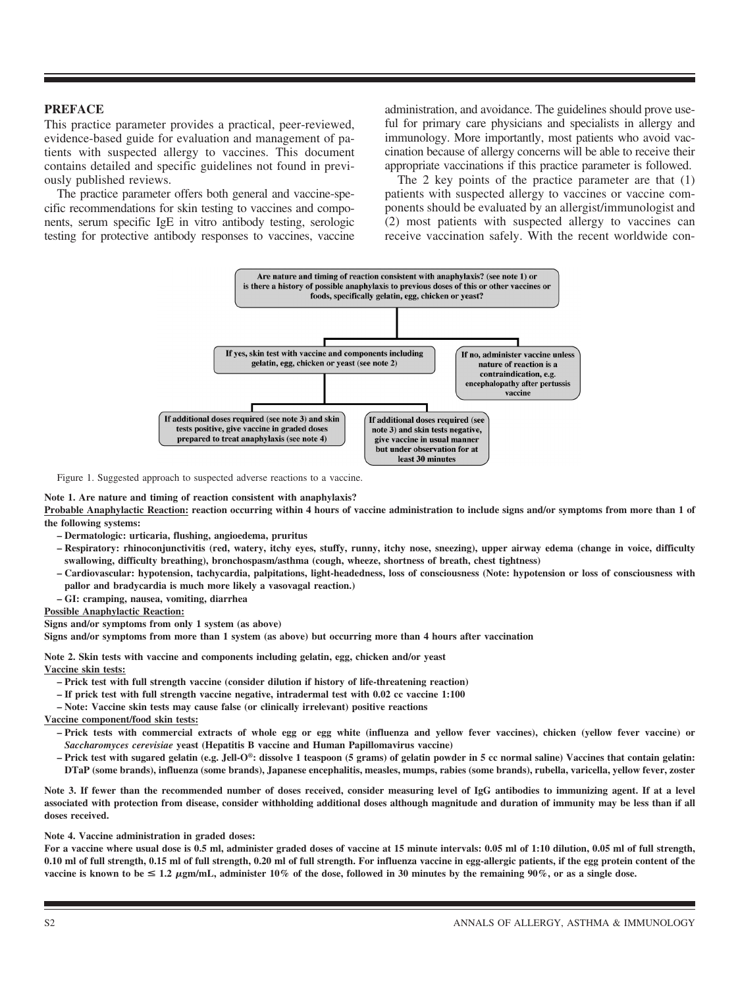#### **PREFACE**

This practice parameter provides a practical, peer-reviewed, evidence-based guide for evaluation and management of patients with suspected allergy to vaccines. This document contains detailed and specific guidelines not found in previously published reviews.

The practice parameter offers both general and vaccine-specific recommendations for skin testing to vaccines and components, serum specific IgE in vitro antibody testing, serologic testing for protective antibody responses to vaccines, vaccine

administration, and avoidance. The guidelines should prove useful for primary care physicians and specialists in allergy and immunology. More importantly, most patients who avoid vaccination because of allergy concerns will be able to receive their appropriate vaccinations if this practice parameter is followed.

The 2 key points of the practice parameter are that (1) patients with suspected allergy to vaccines or vaccine components should be evaluated by an allergist/immunologist and (2) most patients with suspected allergy to vaccines can receive vaccination safely. With the recent worldwide con-



Figure 1. Suggested approach to suspected adverse reactions to a vaccine.

**Note 1. Are nature and timing of reaction consistent with anaphylaxis?**

**Probable Anaphylactic Reaction: reaction occurring within 4 hours of vaccine administration to include signs and/or symptoms from more than 1 of the following systems:**

- **Dermatologic: urticaria, flushing, angioedema, pruritus**
- **Respiratory: rhinoconjunctivitis (red, watery, itchy eyes, stuffy, runny, itchy nose, sneezing), upper airway edema (change in voice, difficulty swallowing, difficulty breathing), bronchospasm/asthma (cough, wheeze, shortness of breath, chest tightness)**
- **Cardiovascular: hypotension, tachycardia, palpitations, light-headedness, loss of consciousness (Note: hypotension or loss of consciousness with pallor and bradycardia is much more likely a vasovagal reaction.)**
- **GI: cramping, nausea, vomiting, diarrhea**

**Possible Anaphylactic Reaction:**

**Signs and/or symptoms from only 1 system (as above)**

**Signs and/or symptoms from more than 1 system (as above) but occurring more than 4 hours after vaccination**

**Note 2. Skin tests with vaccine and components including gelatin, egg, chicken and/or yeast Vaccine skin tests:**

- **Prick test with full strength vaccine (consider dilution if history of life-threatening reaction)**
- **If prick test with full strength vaccine negative, intradermal test with 0.02 cc vaccine 1:100**

**– Note: Vaccine skin tests may cause false (or clinically irrelevant) positive reactions**

**Vaccine component/food skin tests:**

- **Prick tests with commercial extracts of whole egg or egg white (influenza and yellow fever vaccines), chicken (yellow fever vaccine) or** *Saccharomyces cerevisiae* **yeast (Hepatitis B vaccine and Human Papillomavirus vaccine)**
- **Prick test with sugared gelatin (e.g. Jell-O®: dissolve 1 teaspoon (5 grams) of gelatin powder in 5 cc normal saline) Vaccines that contain gelatin: DTaP (some brands), influenza (some brands), Japanese encephalitis, measles, mumps, rabies (some brands), rubella, varicella, yellow fever, zoster**

**Note 3. If fewer than the recommended number of doses received, consider measuring level of IgG antibodies to immunizing agent. If at a level associated with protection from disease, consider withholding additional doses although magnitude and duration of immunity may be less than if all doses received.**

**Note 4. Vaccine administration in graded doses:**

**For a vaccine where usual dose is 0.5 ml, administer graded doses of vaccine at 15 minute intervals: 0.05 ml of 1:10 dilution, 0.05 ml of full strength, 0.10 ml of full strength, 0.15 ml of full strength, 0.20 ml of full strength. For influenza vaccine in egg-allergic patients, if the egg protein content of the** vaccine is known to be  $\leq 1.2 \mu$ gm/mL, administer 10% of the dose, followed in 30 minutes by the remaining 90%, or as a single dose.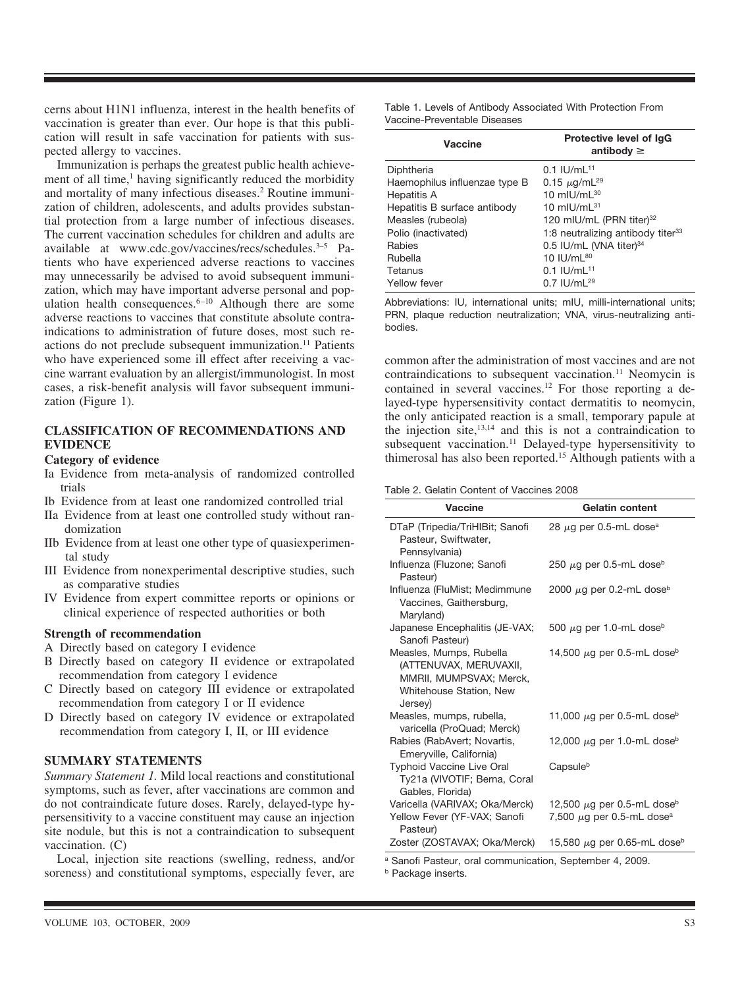cerns about H1N1 influenza, interest in the health benefits of vaccination is greater than ever. Our hope is that this publication will result in safe vaccination for patients with suspected allergy to vaccines.

Immunization is perhaps the greatest public health achievement of all time,<sup>1</sup> having significantly reduced the morbidity and mortality of many infectious diseases.2 Routine immunization of children, adolescents, and adults provides substantial protection from a large number of infectious diseases. The current vaccination schedules for children and adults are available at www.cdc.gov/vaccines/recs/schedules.<sup>3-5</sup> Patients who have experienced adverse reactions to vaccines may unnecessarily be advised to avoid subsequent immunization, which may have important adverse personal and population health consequences. $6-10$  Although there are some adverse reactions to vaccines that constitute absolute contraindications to administration of future doses, most such reactions do not preclude subsequent immunization.<sup>11</sup> Patients who have experienced some ill effect after receiving a vaccine warrant evaluation by an allergist/immunologist. In most cases, a risk-benefit analysis will favor subsequent immunization (Figure 1).

# **CLASSIFICATION OF RECOMMENDATIONS AND EVIDENCE**

#### **Category of evidence**

- Ia Evidence from meta-analysis of randomized controlled trials
- Ib Evidence from at least one randomized controlled trial
- IIa Evidence from at least one controlled study without randomization
- IIb Evidence from at least one other type of quasiexperimental study
- III Evidence from nonexperimental descriptive studies, such as comparative studies
- IV Evidence from expert committee reports or opinions or clinical experience of respected authorities or both

#### **Strength of recommendation**

- A Directly based on category I evidence
- B Directly based on category II evidence or extrapolated recommendation from category I evidence
- C Directly based on category III evidence or extrapolated recommendation from category I or II evidence
- D Directly based on category IV evidence or extrapolated recommendation from category I, II, or III evidence

#### **SUMMARY STATEMENTS**

*Summary Statement 1.* Mild local reactions and constitutional symptoms, such as fever, after vaccinations are common and do not contraindicate future doses. Rarely, delayed-type hypersensitivity to a vaccine constituent may cause an injection site nodule, but this is not a contraindication to subsequent vaccination. (C)

Local, injection site reactions (swelling, redness, and/or soreness) and constitutional symptoms, especially fever, are

| Table 1. Levels of Antibody Associated With Protection From |
|-------------------------------------------------------------|
| Vaccine-Preventable Diseases                                |

| Vaccine                       | Protective level of IgG<br>antibody $\geq$    |
|-------------------------------|-----------------------------------------------|
| Diphtheria                    | $0.1$ IU/mL <sup>11</sup>                     |
| Haemophilus influenzae type B | 0.15 $\mu$ g/mL <sup>29</sup>                 |
| Hepatitis A                   | 10 mlU/m $L^{30}$                             |
| Hepatitis B surface antibody  | 10 mIU/mL $31$                                |
| Measles (rubeola)             | 120 mIU/mL (PRN titer) <sup>32</sup>          |
| Polio (inactivated)           | 1:8 neutralizing antibody titer <sup>33</sup> |
| Rabies                        | 0.5 IU/mL (VNA titer) <sup>34</sup>           |
| Rubella                       | 10 IU/mL <sup>80</sup>                        |
| Tetanus                       | $0.1$ IU/mL <sup>11</sup>                     |
| Yellow fever                  | $0.7$ IU/mL <sup>29</sup>                     |

Abbreviations: IU, international units; mIU, milli-international units; PRN, plaque reduction neutralization; VNA, virus-neutralizing antibodies.

common after the administration of most vaccines and are not contraindications to subsequent vaccination.<sup>11</sup> Neomycin is contained in several vaccines.12 For those reporting a delayed-type hypersensitivity contact dermatitis to neomycin, the only anticipated reaction is a small, temporary papule at the injection site,13,14 and this is not a contraindication to subsequent vaccination.<sup>11</sup> Delayed-type hypersensitivity to thimerosal has also been reported.15 Although patients with a

#### Table 2. Gelatin Content of Vaccines 2008

| Vaccine                                                                                                            | <b>Gelatin content</b>                                                                    |
|--------------------------------------------------------------------------------------------------------------------|-------------------------------------------------------------------------------------------|
| DTaP (Tripedia/TriHIBit; Sanofi<br>Pasteur. Swiftwater.<br>Pennsylvania)                                           | 28 $\mu$ g per 0.5-mL dose <sup>a</sup>                                                   |
| Influenza (Fluzone; Sanofi<br>Pasteur)                                                                             | 250 $\mu$ g per 0.5-mL dose <sup>b</sup>                                                  |
| Influenza (FluMist; Medimmune<br>Vaccines, Gaithersburg,<br>Maryland)                                              | 2000 $\mu$ g per 0.2-mL dose <sup>b</sup>                                                 |
| Japanese Encephalitis (JE-VAX;<br>Sanofi Pasteur)                                                                  | 500 $\mu$ g per 1.0-mL dose <sup>b</sup>                                                  |
| Measles, Mumps, Rubella<br>(ATTENUVAX, MERUVAXII,<br>MMRII, MUMPSVAX: Merck.<br>Whitehouse Station, New<br>Jersey) | 14,500 $\mu$ g per 0.5-mL dose <sup>b</sup>                                               |
| Measles, mumps, rubella,<br>varicella (ProQuad; Merck)                                                             | 11,000 $\mu$ g per 0.5-mL dose <sup>b</sup>                                               |
| Rabies (RabAvert; Novartis,<br>Emeryville, California)                                                             | 12,000 $\mu$ g per 1.0-mL dose <sup>b</sup>                                               |
| <b>Typhoid Vaccine Live Oral</b><br>Ty21a (VIVOTIF; Berna, Coral<br>Gables, Florida)                               | Capsuleb                                                                                  |
| Varicella (VARIVAX; Oka/Merck)<br>Yellow Fever (YF-VAX; Sanofi<br>Pasteur)                                         | 12,500 $\mu$ g per 0.5-mL dose <sup>b</sup><br>7,500 $\mu$ g per 0.5-mL dose <sup>a</sup> |
| Zoster (ZOSTAVAX; Oka/Merck)                                                                                       | 15,580 $\mu$ g per 0.65-mL dose <sup>b</sup>                                              |

a Sanofi Pasteur, oral communication, September 4, 2009.

**b** Package inserts.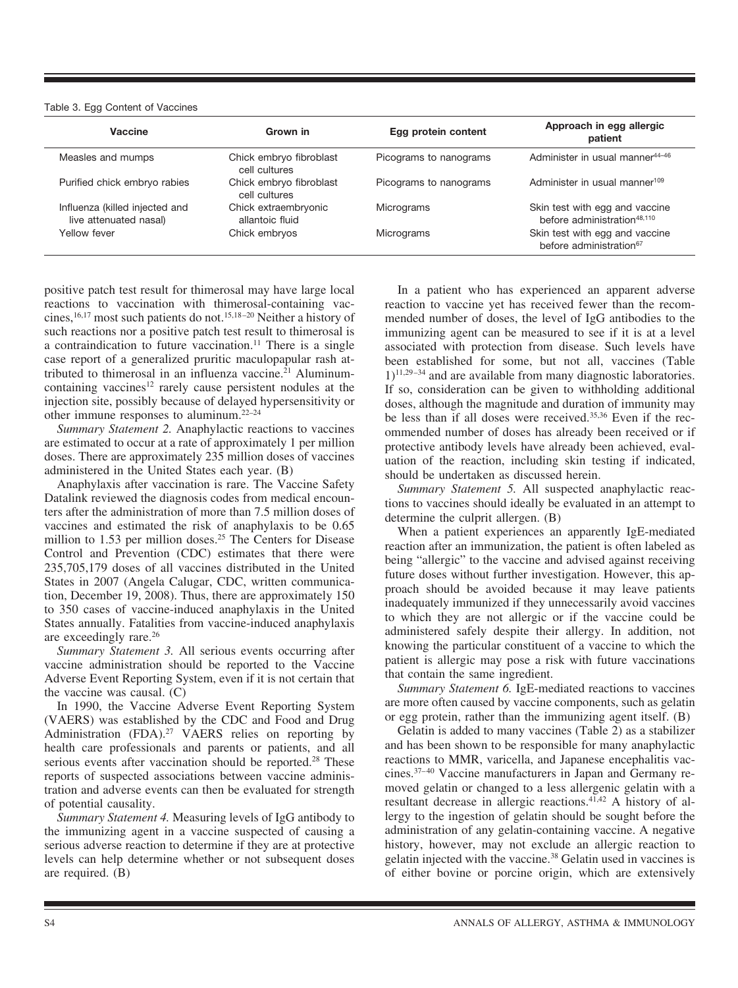|  | Table 3. Egg Content of Vaccines |  |  |  |  |  |
|--|----------------------------------|--|--|--|--|--|
|--|----------------------------------|--|--|--|--|--|

| Vaccine                                                  | Grown in                                 | Egg protein content    | Approach in egg allergic<br>patient                                       |
|----------------------------------------------------------|------------------------------------------|------------------------|---------------------------------------------------------------------------|
| Measles and mumps                                        | Chick embryo fibroblast<br>cell cultures | Picograms to nanograms | Administer in usual manner44-46                                           |
| Purified chick embryo rabies                             | Chick embryo fibroblast<br>cell cultures | Picograms to nanograms | Administer in usual manner <sup>109</sup>                                 |
| Influenza (killed injected and<br>live attenuated nasal) | Chick extraembryonic<br>allantoic fluid  | Micrograms             | Skin test with egg and vaccine<br>before administration <sup>48,110</sup> |
| Yellow fever                                             | Chick embryos                            | Micrograms             | Skin test with egg and vaccine<br>before administration <sup>67</sup>     |

positive patch test result for thimerosal may have large local reactions to vaccination with thimerosal-containing vaccines,<sup>16,17</sup> most such patients do not.<sup>15,18-20</sup> Neither a history of such reactions nor a positive patch test result to thimerosal is a contraindication to future vaccination.<sup>11</sup> There is a single case report of a generalized pruritic maculopapular rash attributed to thimerosal in an influenza vaccine.<sup>21</sup> Aluminumcontaining vaccines<sup>12</sup> rarely cause persistent nodules at the injection site, possibly because of delayed hypersensitivity or other immune responses to aluminum.22–24

*Summary Statement 2.* Anaphylactic reactions to vaccines are estimated to occur at a rate of approximately 1 per million doses. There are approximately 235 million doses of vaccines administered in the United States each year. (B)

Anaphylaxis after vaccination is rare. The Vaccine Safety Datalink reviewed the diagnosis codes from medical encounters after the administration of more than 7.5 million doses of vaccines and estimated the risk of anaphylaxis to be 0.65 million to 1.53 per million doses.<sup>25</sup> The Centers for Disease Control and Prevention (CDC) estimates that there were 235,705,179 doses of all vaccines distributed in the United States in 2007 (Angela Calugar, CDC, written communication, December 19, 2008). Thus, there are approximately 150 to 350 cases of vaccine-induced anaphylaxis in the United States annually. Fatalities from vaccine-induced anaphylaxis are exceedingly rare.<sup>26</sup>

*Summary Statement 3.* All serious events occurring after vaccine administration should be reported to the Vaccine Adverse Event Reporting System, even if it is not certain that the vaccine was causal. (C)

In 1990, the Vaccine Adverse Event Reporting System (VAERS) was established by the CDC and Food and Drug Administration (FDA).<sup>27</sup> VAERS relies on reporting by health care professionals and parents or patients, and all serious events after vaccination should be reported.<sup>28</sup> These reports of suspected associations between vaccine administration and adverse events can then be evaluated for strength of potential causality.

*Summary Statement 4.* Measuring levels of IgG antibody to the immunizing agent in a vaccine suspected of causing a serious adverse reaction to determine if they are at protective levels can help determine whether or not subsequent doses are required. (B)

In a patient who has experienced an apparent adverse reaction to vaccine yet has received fewer than the recommended number of doses, the level of IgG antibodies to the immunizing agent can be measured to see if it is at a level associated with protection from disease. Such levels have been established for some, but not all, vaccines (Table  $1$ )<sup>11,29-34</sup> and are available from many diagnostic laboratories. If so, consideration can be given to withholding additional doses, although the magnitude and duration of immunity may be less than if all doses were received.35,36 Even if the recommended number of doses has already been received or if protective antibody levels have already been achieved, evaluation of the reaction, including skin testing if indicated, should be undertaken as discussed herein.

*Summary Statement 5.* All suspected anaphylactic reactions to vaccines should ideally be evaluated in an attempt to determine the culprit allergen. (B)

When a patient experiences an apparently IgE-mediated reaction after an immunization, the patient is often labeled as being "allergic" to the vaccine and advised against receiving future doses without further investigation. However, this approach should be avoided because it may leave patients inadequately immunized if they unnecessarily avoid vaccines to which they are not allergic or if the vaccine could be administered safely despite their allergy. In addition, not knowing the particular constituent of a vaccine to which the patient is allergic may pose a risk with future vaccinations that contain the same ingredient.

*Summary Statement 6.* IgE-mediated reactions to vaccines are more often caused by vaccine components, such as gelatin or egg protein, rather than the immunizing agent itself. (B)

Gelatin is added to many vaccines (Table 2) as a stabilizer and has been shown to be responsible for many anaphylactic reactions to MMR, varicella, and Japanese encephalitis vaccines.<sup>37-40</sup> Vaccine manufacturers in Japan and Germany removed gelatin or changed to a less allergenic gelatin with a resultant decrease in allergic reactions.41,42 A history of allergy to the ingestion of gelatin should be sought before the administration of any gelatin-containing vaccine. A negative history, however, may not exclude an allergic reaction to gelatin injected with the vaccine.38 Gelatin used in vaccines is of either bovine or porcine origin, which are extensively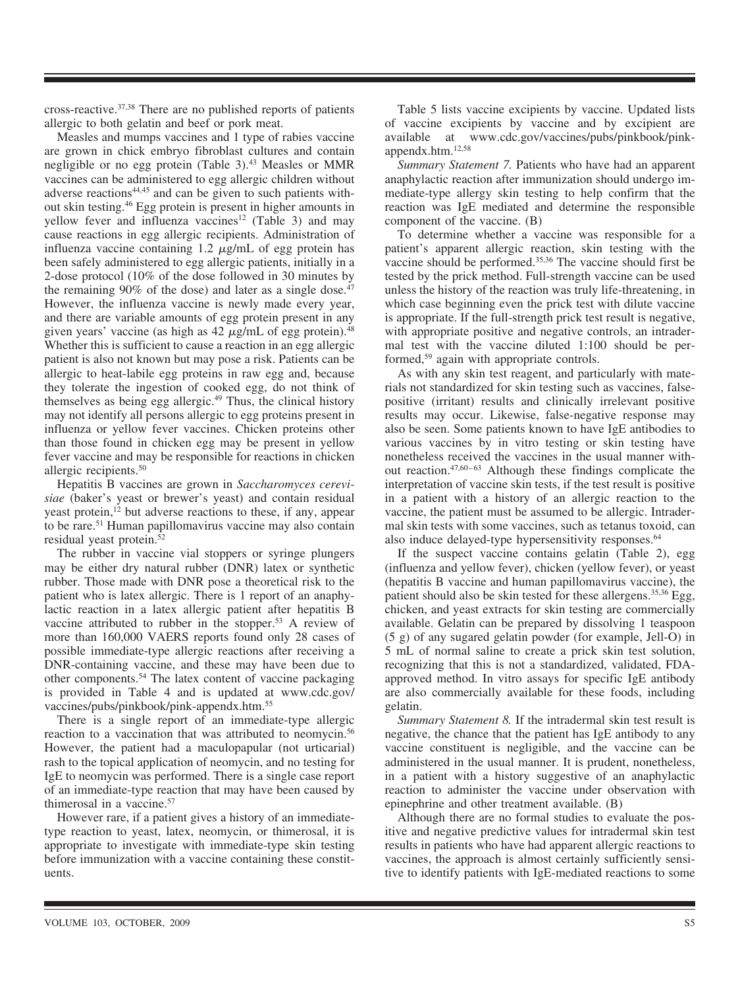cross-reactive.37,38 There are no published reports of patients allergic to both gelatin and beef or pork meat.

Measles and mumps vaccines and 1 type of rabies vaccine are grown in chick embryo fibroblast cultures and contain negligible or no egg protein (Table 3).<sup>43</sup> Measles or MMR vaccines can be administered to egg allergic children without adverse reactions44,45 and can be given to such patients without skin testing.46 Egg protein is present in higher amounts in yellow fever and influenza vaccines<sup>12</sup> (Table 3) and may cause reactions in egg allergic recipients. Administration of influenza vaccine containing 1.2  $\mu$ g/mL of egg protein has been safely administered to egg allergic patients, initially in a 2-dose protocol (10% of the dose followed in 30 minutes by the remaining  $90\%$  of the dose) and later as a single dose.<sup>47</sup> However, the influenza vaccine is newly made every year, and there are variable amounts of egg protein present in any given years' vaccine (as high as  $42 \mu g/mL$  of egg protein).<sup>48</sup> Whether this is sufficient to cause a reaction in an egg allergic patient is also not known but may pose a risk. Patients can be allergic to heat-labile egg proteins in raw egg and, because they tolerate the ingestion of cooked egg, do not think of themselves as being egg allergic.49 Thus, the clinical history may not identify all persons allergic to egg proteins present in influenza or yellow fever vaccines. Chicken proteins other than those found in chicken egg may be present in yellow fever vaccine and may be responsible for reactions in chicken allergic recipients.<sup>50</sup>

Hepatitis B vaccines are grown in *Saccharomyces cerevisiae* (baker's yeast or brewer's yeast) and contain residual yeast protein,<sup>12</sup> but adverse reactions to these, if any, appear to be rare.51 Human papillomavirus vaccine may also contain residual yeast protein.52

The rubber in vaccine vial stoppers or syringe plungers may be either dry natural rubber (DNR) latex or synthetic rubber. Those made with DNR pose a theoretical risk to the patient who is latex allergic. There is 1 report of an anaphylactic reaction in a latex allergic patient after hepatitis B vaccine attributed to rubber in the stopper.53 A review of more than 160,000 VAERS reports found only 28 cases of possible immediate-type allergic reactions after receiving a DNR-containing vaccine, and these may have been due to other components.54 The latex content of vaccine packaging is provided in Table 4 and is updated at www.cdc.gov/ vaccines/pubs/pinkbook/pink-appendx.htm.55

There is a single report of an immediate-type allergic reaction to a vaccination that was attributed to neomycin.56 However, the patient had a maculopapular (not urticarial) rash to the topical application of neomycin, and no testing for IgE to neomycin was performed. There is a single case report of an immediate-type reaction that may have been caused by thimerosal in a vaccine.<sup>57</sup>

However rare, if a patient gives a history of an immediatetype reaction to yeast, latex, neomycin, or thimerosal, it is appropriate to investigate with immediate-type skin testing before immunization with a vaccine containing these constituents.

Table 5 lists vaccine excipients by vaccine. Updated lists of vaccine excipients by vaccine and by excipient are available at www.cdc.gov/vaccines/pubs/pinkbook/pinkappendx.htm.12,58

*Summary Statement 7.* Patients who have had an apparent anaphylactic reaction after immunization should undergo immediate-type allergy skin testing to help confirm that the reaction was IgE mediated and determine the responsible component of the vaccine. (B)

To determine whether a vaccine was responsible for a patient's apparent allergic reaction, skin testing with the vaccine should be performed.35,36 The vaccine should first be tested by the prick method. Full-strength vaccine can be used unless the history of the reaction was truly life-threatening, in which case beginning even the prick test with dilute vaccine is appropriate. If the full-strength prick test result is negative, with appropriate positive and negative controls, an intradermal test with the vaccine diluted 1:100 should be performed,59 again with appropriate controls.

As with any skin test reagent, and particularly with materials not standardized for skin testing such as vaccines, falsepositive (irritant) results and clinically irrelevant positive results may occur. Likewise, false-negative response may also be seen. Some patients known to have IgE antibodies to various vaccines by in vitro testing or skin testing have nonetheless received the vaccines in the usual manner without reaction. $47,60 - 63$  Although these findings complicate the interpretation of vaccine skin tests, if the test result is positive in a patient with a history of an allergic reaction to the vaccine, the patient must be assumed to be allergic. Intradermal skin tests with some vaccines, such as tetanus toxoid, can also induce delayed-type hypersensitivity responses.<sup>64</sup>

If the suspect vaccine contains gelatin (Table 2), egg (influenza and yellow fever), chicken (yellow fever), or yeast (hepatitis B vaccine and human papillomavirus vaccine), the patient should also be skin tested for these allergens.35,36 Egg, chicken, and yeast extracts for skin testing are commercially available. Gelatin can be prepared by dissolving 1 teaspoon (5 g) of any sugared gelatin powder (for example, Jell-O) in 5 mL of normal saline to create a prick skin test solution, recognizing that this is not a standardized, validated, FDAapproved method. In vitro assays for specific IgE antibody are also commercially available for these foods, including gelatin.

*Summary Statement 8.* If the intradermal skin test result is negative, the chance that the patient has IgE antibody to any vaccine constituent is negligible, and the vaccine can be administered in the usual manner. It is prudent, nonetheless, in a patient with a history suggestive of an anaphylactic reaction to administer the vaccine under observation with epinephrine and other treatment available. (B)

Although there are no formal studies to evaluate the positive and negative predictive values for intradermal skin test results in patients who have had apparent allergic reactions to vaccines, the approach is almost certainly sufficiently sensitive to identify patients with IgE-mediated reactions to some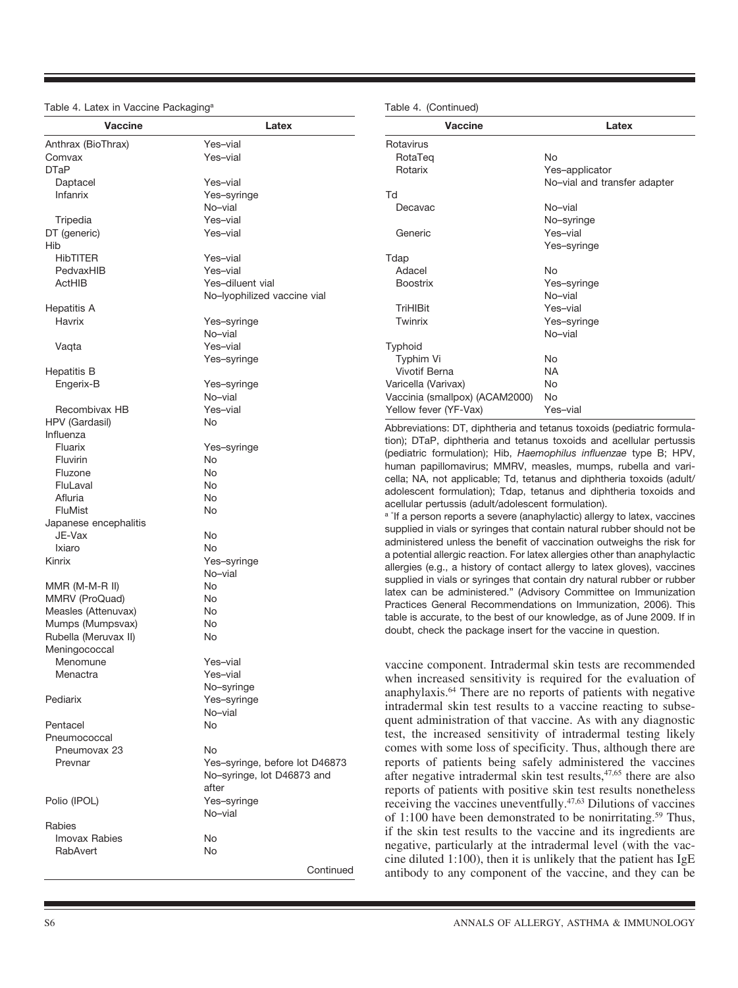#### Table 4. Latex in Vaccine Packaging<sup>a</sup>

| Vaccine                          | Latex                               |
|----------------------------------|-------------------------------------|
| Anthrax (BioThrax)<br>Comvax     | Yes-vial<br>Yes-vial                |
| <b>DTaP</b>                      |                                     |
| Daptacel<br>Infanrix             | Yes-vial                            |
|                                  | Yes-syringe<br>No-vial              |
| Tripedia                         | Yes-vial                            |
| DT (generic)                     | Yes-vial                            |
| Hib                              |                                     |
| <b>HibTITER</b>                  | Yes-vial                            |
| PedvaxHIB                        | Yes-vial                            |
| ActHIB                           | Yes-diluent vial                    |
| Hepatitis A                      | No-lyophilized vaccine vial         |
| Havrix                           | Yes-syringe                         |
|                                  | No-vial                             |
| Vaqta                            | Yes-vial                            |
|                                  | Yes-syringe                         |
| Hepatitis B                      |                                     |
| Engerix-B                        | Yes-syringe                         |
| Recombivax HB                    | No-vial<br>Yes-vial                 |
| HPV (Gardasil)                   | <b>No</b>                           |
| Influenza                        |                                     |
| Fluarix                          | Yes–syringe                         |
| Fluvirin                         | No                                  |
| Fluzone                          | No                                  |
| FluLaval                         | No                                  |
| Afluria<br><b>FluMist</b>        | No<br><b>No</b>                     |
| Japanese encephalitis            |                                     |
| JE-Vax                           | No                                  |
| Ixiaro                           | No                                  |
| Kinrix                           | Yes-syringe                         |
|                                  | No-vial                             |
| MMR (M-M-R II)<br>MMRV (ProQuad) | No<br><b>No</b>                     |
| Measles (Attenuvax)              | No                                  |
| Mumps (Mumpsvax)                 | No                                  |
| Rubella (Meruvax II)             | No                                  |
| Meningococcal                    |                                     |
| Menomune                         | Yes-vial                            |
| Menactra                         | Yes-vial                            |
| Pediarix                         | No-syringe<br>Yes-syringe           |
|                                  | No-vial                             |
| Pentacel                         | No                                  |
| Pneumococcal                     |                                     |
| Pneumovax 23                     | No                                  |
| Prevnar                          | Yes-syringe, before lot D46873      |
|                                  | No-syringe, lot D46873 and<br>after |
| Polio (IPOL)                     | Yes-syringe                         |
|                                  | No-vial                             |
| Rabies                           |                                     |
| <b>Imovax Rabies</b>             | No                                  |
| RabAvert                         | No                                  |
|                                  | Continued                           |

Table 4. (Continued)

| Vaccine                        | Latex                        |
|--------------------------------|------------------------------|
| Rotavirus                      |                              |
| RotaTeg                        | No                           |
| Rotarix                        | Yes-applicator               |
|                                | No-vial and transfer adapter |
| Td                             |                              |
| Decavac                        | No-vial                      |
|                                | No-syringe                   |
| Generic                        | Yes-vial                     |
|                                | Yes-syringe                  |
| Tdap                           |                              |
| Adacel                         | No                           |
| <b>Boostrix</b>                | Yes-syringe                  |
|                                | No-vial                      |
| <b>TriHIBit</b>                | Yes-vial                     |
| Twinrix                        | Yes-syringe                  |
|                                | No-vial                      |
| <b>Typhoid</b>                 |                              |
| Typhim Vi                      | No                           |
| Vivotif Berna                  | <b>NA</b>                    |
| Varicella (Varivax)            | No                           |
| Vaccinia (smallpox) (ACAM2000) | No                           |
| Yellow fever (YF-Vax)          | Yes-vial                     |

Abbreviations: DT, diphtheria and tetanus toxoids (pediatric formulation); DTaP, diphtheria and tetanus toxoids and acellular pertussis (pediatric formulation); Hib, *Haemophilus influenzae* type B; HPV, human papillomavirus; MMRV, measles, mumps, rubella and varicella; NA, not applicable; Td, tetanus and diphtheria toxoids (adult/ adolescent formulation); Tdap, tetanus and diphtheria toxoids and acellular pertussis (adult/adolescent formulation).

a "If a person reports a severe (anaphylactic) allergy to latex, vaccines supplied in vials or syringes that contain natural rubber should not be administered unless the benefit of vaccination outweighs the risk for a potential allergic reaction. For latex allergies other than anaphylactic allergies (e.g., a history of contact allergy to latex gloves), vaccines supplied in vials or syringes that contain dry natural rubber or rubber latex can be administered." (Advisory Committee on Immunization Practices General Recommendations on Immunization, 2006). This table is accurate, to the best of our knowledge, as of June 2009. If in doubt, check the package insert for the vaccine in question.

vaccine component. Intradermal skin tests are recommended when increased sensitivity is required for the evaluation of anaphylaxis.64 There are no reports of patients with negative intradermal skin test results to a vaccine reacting to subsequent administration of that vaccine. As with any diagnostic test, the increased sensitivity of intradermal testing likely comes with some loss of specificity. Thus, although there are reports of patients being safely administered the vaccines after negative intradermal skin test results,47,65 there are also reports of patients with positive skin test results nonetheless receiving the vaccines uneventfully.47,63 Dilutions of vaccines of 1:100 have been demonstrated to be nonirritating.<sup>59</sup> Thus, if the skin test results to the vaccine and its ingredients are negative, particularly at the intradermal level (with the vaccine diluted 1:100), then it is unlikely that the patient has  $IgE$ antibody to any component of the vaccine, and they can be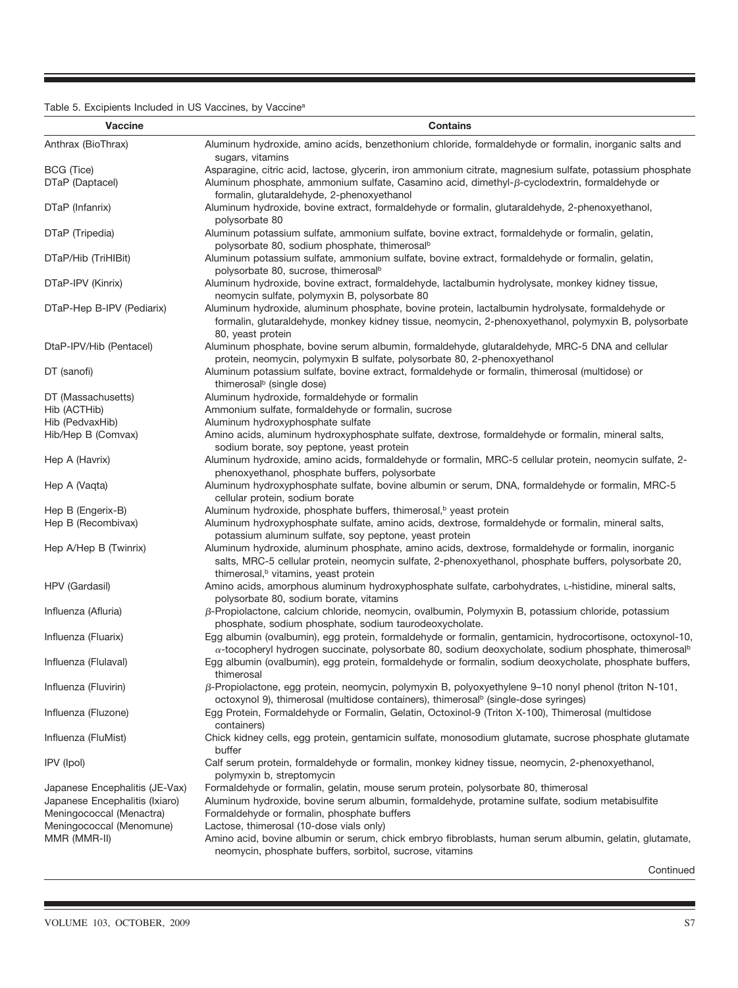## Table 5. Excipients Included in US Vaccines, by Vaccinea

| <b>Vaccine</b>                                             | <b>Contains</b>                                                                                                                                                                                                                                                 |
|------------------------------------------------------------|-----------------------------------------------------------------------------------------------------------------------------------------------------------------------------------------------------------------------------------------------------------------|
| Anthrax (BioThrax)                                         | Aluminum hydroxide, amino acids, benzethonium chloride, formaldehyde or formalin, inorganic salts and<br>sugars, vitamins                                                                                                                                       |
| BCG (Tice)                                                 | Asparagine, citric acid, lactose, glycerin, iron ammonium citrate, magnesium sulfate, potassium phosphate                                                                                                                                                       |
| DTaP (Daptacel)                                            | Aluminum phosphate, ammonium sulfate, Casamino acid, dimethyl- $\beta$ -cyclodextrin, formaldehyde or<br>formalin, glutaraldehyde, 2-phenoxyethanol                                                                                                             |
| DTaP (Infanrix)                                            | Aluminum hydroxide, bovine extract, formaldehyde or formalin, glutaraldehyde, 2-phenoxyethanol,<br>polysorbate 80                                                                                                                                               |
| DTaP (Tripedia)                                            | Aluminum potassium sulfate, ammonium sulfate, bovine extract, formaldehyde or formalin, gelatin,<br>polysorbate 80, sodium phosphate, thimerosal <sup>b</sup>                                                                                                   |
| DTaP/Hib (TriHIBit)                                        | Aluminum potassium sulfate, ammonium sulfate, bovine extract, formaldehyde or formalin, gelatin,<br>polysorbate 80, sucrose, thimerosal <sup>b</sup>                                                                                                            |
| DTaP-IPV (Kinrix)                                          | Aluminum hydroxide, bovine extract, formaldehyde, lactalbumin hydrolysate, monkey kidney tissue,<br>neomycin sulfate, polymyxin B, polysorbate 80                                                                                                               |
| DTaP-Hep B-IPV (Pediarix)                                  | Aluminum hydroxide, aluminum phosphate, bovine protein, lactalbumin hydrolysate, formaldehyde or<br>formalin, glutaraldehyde, monkey kidney tissue, neomycin, 2-phenoxyethanol, polymyxin B, polysorbate<br>80, yeast protein                                   |
| DtaP-IPV/Hib (Pentacel)                                    | Aluminum phosphate, bovine serum albumin, formaldehyde, glutaraldehyde, MRC-5 DNA and cellular<br>protein, neomycin, polymyxin B sulfate, polysorbate 80, 2-phenoxyethanol                                                                                      |
| DT (sanofi)                                                | Aluminum potassium sulfate, bovine extract, formaldehyde or formalin, thimerosal (multidose) or<br>thimerosal <sup>b</sup> (single dose)                                                                                                                        |
| DT (Massachusetts)                                         | Aluminum hydroxide, formaldehyde or formalin                                                                                                                                                                                                                    |
| Hib (ACTHib)                                               | Ammonium sulfate, formaldehyde or formalin, sucrose                                                                                                                                                                                                             |
| Hib (PedvaxHib)                                            | Aluminum hydroxyphosphate sulfate                                                                                                                                                                                                                               |
| Hib/Hep B (Comvax)                                         | Amino acids, aluminum hydroxyphosphate sulfate, dextrose, formaldehyde or formalin, mineral salts,                                                                                                                                                              |
|                                                            | sodium borate, soy peptone, yeast protein                                                                                                                                                                                                                       |
| Hep A (Havrix)                                             | Aluminum hydroxide, amino acids, formaldehyde or formalin, MRC-5 cellular protein, neomycin sulfate, 2-<br>phenoxyethanol, phosphate buffers, polysorbate                                                                                                       |
| Hep A (Vaqta)                                              | Aluminum hydroxyphosphate sulfate, bovine albumin or serum, DNA, formaldehyde or formalin, MRC-5<br>cellular protein, sodium borate                                                                                                                             |
| Hep B (Engerix-B)                                          | Aluminum hydroxide, phosphate buffers, thimerosal, <sup>b</sup> yeast protein                                                                                                                                                                                   |
| Hep B (Recombivax)                                         | Aluminum hydroxyphosphate sulfate, amino acids, dextrose, formaldehyde or formalin, mineral salts,<br>potassium aluminum sulfate, soy peptone, yeast protein                                                                                                    |
| Hep A/Hep B (Twinrix)                                      | Aluminum hydroxide, aluminum phosphate, amino acids, dextrose, formaldehyde or formalin, inorganic<br>salts, MRC-5 cellular protein, neomycin sulfate, 2-phenoxyethanol, phosphate buffers, polysorbate 20,<br>thimerosal, <sup>b</sup> vitamins, yeast protein |
| HPV (Gardasil)                                             | Amino acids, amorphous aluminum hydroxyphosphate sulfate, carbohydrates, L-histidine, mineral salts,<br>polysorbate 80, sodium borate, vitamins                                                                                                                 |
| Influenza (Afluria)                                        | β-Propiolactone, calcium chloride, neomycin, ovalbumin, Polymyxin B, potassium chloride, potassium<br>phosphate, sodium phosphate, sodium taurodeoxycholate.                                                                                                    |
| Influenza (Fluarix)                                        | Egg albumin (ovalbumin), egg protein, formaldehyde or formalin, gentamicin, hydrocortisone, octoxynol-10,<br>$\alpha$ -tocopheryl hydrogen succinate, polysorbate 80, sodium deoxycholate, sodium phosphate, thimerosal <sup>b</sup>                            |
| Influenza (Flulaval)                                       | Egg albumin (ovalbumin), egg protein, formaldehyde or formalin, sodium deoxycholate, phosphate buffers,<br>thimerosal                                                                                                                                           |
| Influenza (Fluvirin)                                       | β-Propiolactone, egg protein, neomycin, polymyxin B, polyoxyethylene 9-10 nonyl phenol (triton N-101,<br>octoxynol 9), thimerosal (multidose containers), thimerosal <sup>b</sup> (single-dose syringes)                                                        |
| Influenza (Fluzone)                                        | Egg Protein, Formaldehyde or Formalin, Gelatin, Octoxinol-9 (Triton X-100), Thimerosal (multidose<br>containers)                                                                                                                                                |
| Influenza (FluMist)                                        | Chick kidney cells, egg protein, gentamicin sulfate, monosodium glutamate, sucrose phosphate glutamate<br>buffer                                                                                                                                                |
| IPV (Ipol)                                                 | Calf serum protein, formaldehyde or formalin, monkey kidney tissue, neomycin, 2-phenoxyethanol,<br>polymyxin b, streptomycin                                                                                                                                    |
| Japanese Encephalitis (JE-Vax)                             | Formaldehyde or formalin, gelatin, mouse serum protein, polysorbate 80, thimerosal                                                                                                                                                                              |
| Japanese Encephalitis (Ixiaro)<br>Meningococcal (Menactra) | Aluminum hydroxide, bovine serum albumin, formaldehyde, protamine sulfate, sodium metabisulfite<br>Formaldehyde or formalin, phosphate buffers                                                                                                                  |
| Meningococcal (Menomune)                                   | Lactose, thimerosal (10-dose vials only)                                                                                                                                                                                                                        |
| MMR (MMR-II)                                               | Amino acid, bovine albumin or serum, chick embryo fibroblasts, human serum albumin, gelatin, glutamate,<br>neomycin, phosphate buffers, sorbitol, sucrose, vitamins                                                                                             |
|                                                            | Continued                                                                                                                                                                                                                                                       |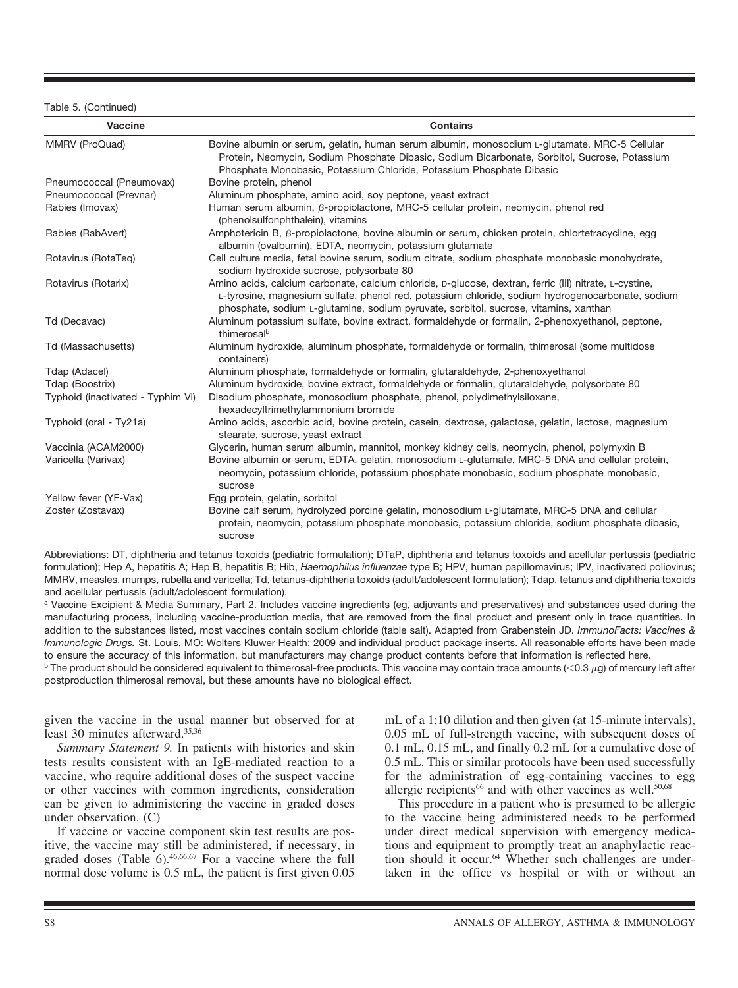|  | Table 5. (Continued) |
|--|----------------------|
|--|----------------------|

| Vaccine                           | <b>Contains</b>                                                                                                                                                                                                                                                                                    |
|-----------------------------------|----------------------------------------------------------------------------------------------------------------------------------------------------------------------------------------------------------------------------------------------------------------------------------------------------|
| MMRV (ProQuad)                    | Bovine albumin or serum, gelatin, human serum albumin, monosodium L-glutamate, MRC-5 Cellular<br>Protein, Neomycin, Sodium Phosphate Dibasic, Sodium Bicarbonate, Sorbitol, Sucrose, Potassium<br>Phosphate Monobasic, Potassium Chloride, Potassium Phosphate Dibasic                             |
| Pneumococcal (Pneumovax)          | Bovine protein, phenol                                                                                                                                                                                                                                                                             |
| Pneumococcal (Prevnar)            | Aluminum phosphate, amino acid, soy peptone, yeast extract                                                                                                                                                                                                                                         |
| Rabies (Imovax)                   | Human serum albumin, $\beta$ -propiolactone, MRC-5 cellular protein, neomycin, phenol red<br>(phenolsulfonphthalein), vitamins                                                                                                                                                                     |
| Rabies (RabAvert)                 | Amphotericin B, $\beta$ -propiolactone, bovine albumin or serum, chicken protein, chlortetracycline, egg<br>albumin (ovalbumin), EDTA, neomycin, potassium glutamate                                                                                                                               |
| Rotavirus (RotaTeq)               | Cell culture media, fetal bovine serum, sodium citrate, sodium phosphate monobasic monohydrate,<br>sodium hydroxide sucrose, polysorbate 80                                                                                                                                                        |
| Rotavirus (Rotarix)               | Amino acids, calcium carbonate, calcium chloride, p-glucose, dextran, ferric (III) nitrate, L-cystine,<br>L-tyrosine, magnesium sulfate, phenol red, potassium chloride, sodium hydrogenocarbonate, sodium<br>phosphate, sodium L-glutamine, sodium pyruvate, sorbitol, sucrose, vitamins, xanthan |
| Td (Decavac)                      | Aluminum potassium sulfate, bovine extract, formaldehyde or formalin, 2-phenoxyethanol, peptone,<br>thimerosal <sup>b</sup>                                                                                                                                                                        |
| Td (Massachusetts)                | Aluminum hydroxide, aluminum phosphate, formaldehyde or formalin, thimerosal (some multidose<br>containers)                                                                                                                                                                                        |
| Tdap (Adacel)                     | Aluminum phosphate, formaldehyde or formalin, glutaraldehyde, 2-phenoxyethanol                                                                                                                                                                                                                     |
| Tdap (Boostrix)                   | Aluminum hydroxide, bovine extract, formaldehyde or formalin, glutaraldehyde, polysorbate 80                                                                                                                                                                                                       |
| Typhoid (inactivated - Typhim Vi) | Disodium phosphate, monosodium phosphate, phenol, polydimethylsiloxane,<br>hexadecyltrimethylammonium bromide                                                                                                                                                                                      |
| Typhoid (oral - Ty21a)            | Amino acids, ascorbic acid, bovine protein, casein, dextrose, galactose, gelatin, lactose, magnesium<br>stearate, sucrose, yeast extract                                                                                                                                                           |
| Vaccinia (ACAM2000)               | Glycerin, human serum albumin, mannitol, monkey kidney cells, neomycin, phenol, polymyxin B                                                                                                                                                                                                        |
| Varicella (Varivax)               | Bovine albumin or serum, EDTA, gelatin, monosodium L-glutamate, MRC-5 DNA and cellular protein,<br>neomycin, potassium chloride, potassium phosphate monobasic, sodium phosphate monobasic,<br>sucrose                                                                                             |
| Yellow fever (YF-Vax)             | Egg protein, gelatin, sorbitol                                                                                                                                                                                                                                                                     |
| Zoster (Zostavax)                 | Bovine calf serum, hydrolyzed porcine gelatin, monosodium L-glutamate, MRC-5 DNA and cellular<br>protein, neomycin, potassium phosphate monobasic, potassium chloride, sodium phosphate dibasic,<br>sucrose                                                                                        |

Abbreviations: DT, diphtheria and tetanus toxoids (pediatric formulation); DTaP, diphtheria and tetanus toxoids and acellular pertussis (pediatric formulation); Hep A, hepatitis A; Hep B, hepatitis B; Hib, *Haemophilus influenzae* type B; HPV, human papillomavirus; IPV, inactivated poliovirus; MMRV, measles, mumps, rubella and varicella; Td, tetanus-diphtheria toxoids (adult/adolescent formulation); Tdap, tetanus and diphtheria toxoids and acellular pertussis (adult/adolescent formulation).

a Vaccine Excipient & Media Summary, Part 2. Includes vaccine ingredients (eg, adjuvants and preservatives) and substances used during the manufacturing process, including vaccine-production media, that are removed from the final product and present only in trace quantities. In addition to the substances listed, most vaccines contain sodium chloride (table salt). Adapted from Grabenstein JD. *ImmunoFacts: Vaccines & Immunologic Drugs.* St. Louis, MO: Wolters Kluwer Health; 2009 and individual product package inserts. All reasonable efforts have been made to ensure the accuracy of this information, but manufacturers may change product contents before that information is reflected here.

 $\rm b$  The product should be considered equivalent to thimerosal-free products. This vaccine may contain trace amounts (<0.3  $\mu$ g) of mercury left after postproduction thimerosal removal, but these amounts have no biological effect.

given the vaccine in the usual manner but observed for at least 30 minutes afterward.35,36

*Summary Statement 9.* In patients with histories and skin tests results consistent with an IgE-mediated reaction to a vaccine, who require additional doses of the suspect vaccine or other vaccines with common ingredients, consideration can be given to administering the vaccine in graded doses under observation. (C)

If vaccine or vaccine component skin test results are positive, the vaccine may still be administered, if necessary, in graded doses (Table 6).<sup>46,66,67</sup> For a vaccine where the full normal dose volume is 0.5 mL, the patient is first given 0.05 mL of a 1:10 dilution and then given (at 15-minute intervals), 0.05 mL of full-strength vaccine, with subsequent doses of 0.1 mL, 0.15 mL, and finally 0.2 mL for a cumulative dose of 0.5 mL. This or similar protocols have been used successfully for the administration of egg-containing vaccines to egg allergic recipients<sup>66</sup> and with other vaccines as well.<sup>50,68</sup>

This procedure in a patient who is presumed to be allergic to the vaccine being administered needs to be performed under direct medical supervision with emergency medications and equipment to promptly treat an anaphylactic reaction should it occur.<sup>64</sup> Whether such challenges are undertaken in the office vs hospital or with or without an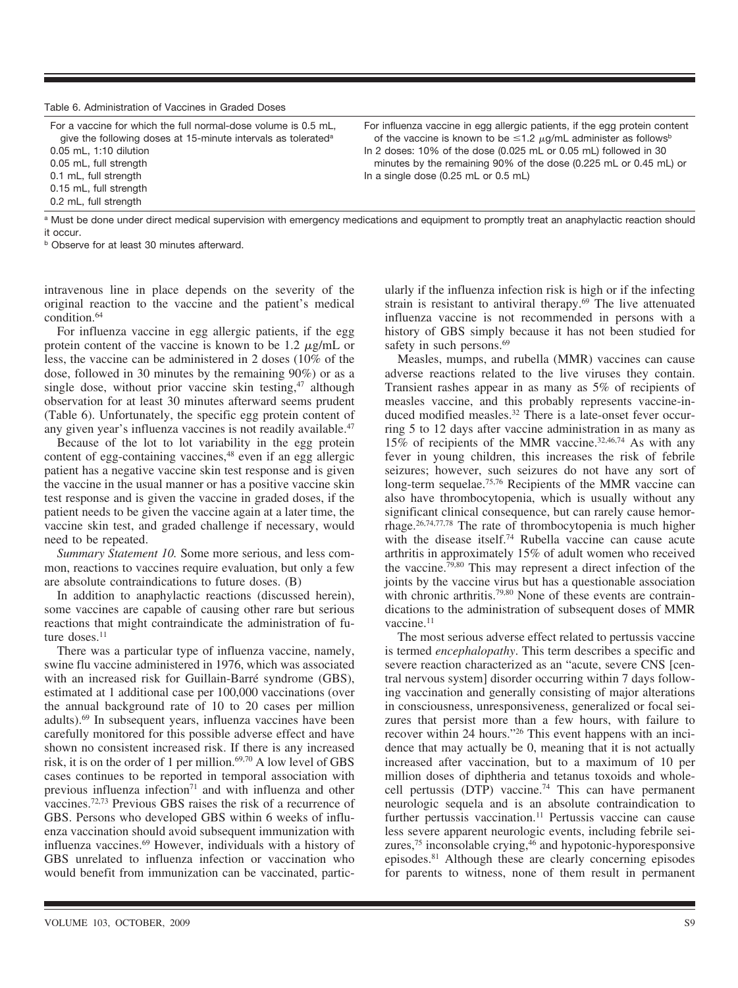Table 6. Administration of Vaccines in Graded Doses

| For a vaccine for which the full normal-dose volume is 0.5 mL.                                                                                        | For influenza vaccine in egg allergic patients, if the egg protein content             |  |
|-------------------------------------------------------------------------------------------------------------------------------------------------------|----------------------------------------------------------------------------------------|--|
| give the following doses at 15-minute intervals as tolerated <sup>a</sup>                                                                             | of the vaccine is known to be $\leq$ 1.2 $\mu$ g/mL administer as follows <sup>b</sup> |  |
| 0.05 mL, 1:10 dilution                                                                                                                                | In 2 doses: 10% of the dose (0.025 mL or 0.05 mL) followed in 30                       |  |
| 0.05 mL, full strength                                                                                                                                | minutes by the remaining 90% of the dose (0.225 mL or 0.45 mL) or                      |  |
| 0.1 mL, full strength                                                                                                                                 | In a single dose $(0.25 \text{ mL or } 0.5 \text{ mL})$                                |  |
| 0.15 mL, full strength                                                                                                                                |                                                                                        |  |
| 0.2 mL, full strength                                                                                                                                 |                                                                                        |  |
| <sup>a</sup> Must be done under direct medical supervision with emergency medications and equipment to promptly treat an anaphylactic reaction should |                                                                                        |  |

a Must be done under direct medical supervision with emergency medications and equipment to promptly treat an anaphylactic reaction should it occur.

<sup>b</sup> Observe for at least 30 minutes afterward.

intravenous line in place depends on the severity of the original reaction to the vaccine and the patient's medical condition.64

For influenza vaccine in egg allergic patients, if the egg protein content of the vaccine is known to be 1.2  $\mu$ g/mL or less, the vaccine can be administered in 2 doses (10% of the dose, followed in 30 minutes by the remaining 90%) or as a single dose, without prior vaccine skin testing, $47$  although observation for at least 30 minutes afterward seems prudent (Table 6). Unfortunately, the specific egg protein content of any given year's influenza vaccines is not readily available.<sup>47</sup>

Because of the lot to lot variability in the egg protein content of egg-containing vaccines, $48$  even if an egg allergic patient has a negative vaccine skin test response and is given the vaccine in the usual manner or has a positive vaccine skin test response and is given the vaccine in graded doses, if the patient needs to be given the vaccine again at a later time, the vaccine skin test, and graded challenge if necessary, would need to be repeated.

*Summary Statement 10.* Some more serious, and less common, reactions to vaccines require evaluation, but only a few are absolute contraindications to future doses. (B)

In addition to anaphylactic reactions (discussed herein), some vaccines are capable of causing other rare but serious reactions that might contraindicate the administration of future doses  $11$ 

There was a particular type of influenza vaccine, namely, swine flu vaccine administered in 1976, which was associated with an increased risk for Guillain-Barré syndrome (GBS), estimated at 1 additional case per 100,000 vaccinations (over the annual background rate of 10 to 20 cases per million adults).69 In subsequent years, influenza vaccines have been carefully monitored for this possible adverse effect and have shown no consistent increased risk. If there is any increased risk, it is on the order of 1 per million.<sup>69,70</sup> A low level of GBS cases continues to be reported in temporal association with previous influenza infection<sup>71</sup> and with influenza and other vaccines.72,73 Previous GBS raises the risk of a recurrence of GBS. Persons who developed GBS within 6 weeks of influenza vaccination should avoid subsequent immunization with influenza vaccines.69 However, individuals with a history of GBS unrelated to influenza infection or vaccination who would benefit from immunization can be vaccinated, particularly if the influenza infection risk is high or if the infecting strain is resistant to antiviral therapy.69 The live attenuated influenza vaccine is not recommended in persons with a history of GBS simply because it has not been studied for safety in such persons.<sup>69</sup>

Measles, mumps, and rubella (MMR) vaccines can cause adverse reactions related to the live viruses they contain. Transient rashes appear in as many as 5% of recipients of measles vaccine, and this probably represents vaccine-induced modified measles.<sup>32</sup> There is a late-onset fever occurring 5 to 12 days after vaccine administration in as many as 15% of recipients of the MMR vaccine.32,46,74 As with any fever in young children, this increases the risk of febrile seizures; however, such seizures do not have any sort of long-term sequelae.75,76 Recipients of the MMR vaccine can also have thrombocytopenia, which is usually without any significant clinical consequence, but can rarely cause hemorrhage.26,74,77,78 The rate of thrombocytopenia is much higher with the disease itself.<sup>74</sup> Rubella vaccine can cause acute arthritis in approximately 15% of adult women who received the vaccine.79,80 This may represent a direct infection of the joints by the vaccine virus but has a questionable association with chronic arthritis.<sup>79,80</sup> None of these events are contraindications to the administration of subsequent doses of MMR vaccine.11

The most serious adverse effect related to pertussis vaccine is termed *encephalopathy*. This term describes a specific and severe reaction characterized as an "acute, severe CNS [central nervous system] disorder occurring within 7 days following vaccination and generally consisting of major alterations in consciousness, unresponsiveness, generalized or focal seizures that persist more than a few hours, with failure to recover within 24 hours."26 This event happens with an incidence that may actually be 0, meaning that it is not actually increased after vaccination, but to a maximum of 10 per million doses of diphtheria and tetanus toxoids and wholecell pertussis (DTP) vaccine.<sup>74</sup> This can have permanent neurologic sequela and is an absolute contraindication to further pertussis vaccination.<sup>11</sup> Pertussis vaccine can cause less severe apparent neurologic events, including febrile seizures, $75$  inconsolable crying, $46$  and hypotonic-hyporesponsive episodes.81 Although these are clearly concerning episodes for parents to witness, none of them result in permanent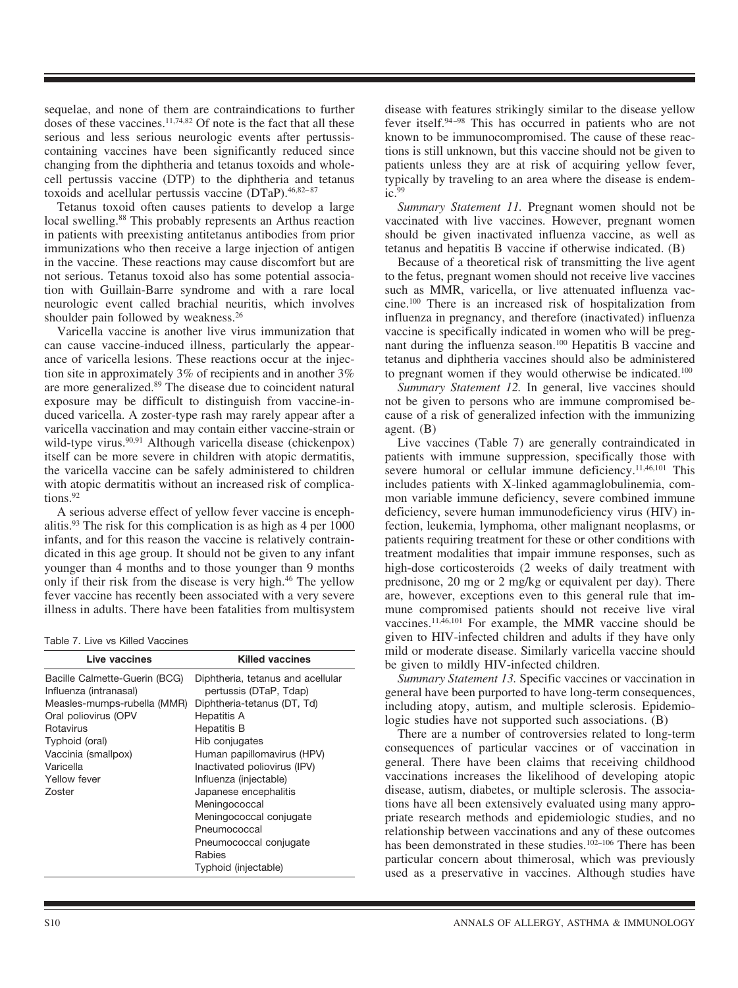sequelae, and none of them are contraindications to further doses of these vaccines.<sup>11,74,82</sup> Of note is the fact that all these serious and less serious neurologic events after pertussiscontaining vaccines have been significantly reduced since changing from the diphtheria and tetanus toxoids and wholecell pertussis vaccine (DTP) to the diphtheria and tetanus toxoids and acellular pertussis vaccine  $(DTaP)$ .  $46,82-87$ 

Tetanus toxoid often causes patients to develop a large local swelling.<sup>88</sup> This probably represents an Arthus reaction in patients with preexisting antitetanus antibodies from prior immunizations who then receive a large injection of antigen in the vaccine. These reactions may cause discomfort but are not serious. Tetanus toxoid also has some potential association with Guillain-Barre syndrome and with a rare local neurologic event called brachial neuritis, which involves shoulder pain followed by weakness.<sup>26</sup>

Varicella vaccine is another live virus immunization that can cause vaccine-induced illness, particularly the appearance of varicella lesions. These reactions occur at the injection site in approximately 3% of recipients and in another 3% are more generalized.89 The disease due to coincident natural exposure may be difficult to distinguish from vaccine-induced varicella. A zoster-type rash may rarely appear after a varicella vaccination and may contain either vaccine-strain or wild-type virus.<sup>90,91</sup> Although varicella disease (chickenpox) itself can be more severe in children with atopic dermatitis, the varicella vaccine can be safely administered to children with atopic dermatitis without an increased risk of complications.<sup>92</sup>

A serious adverse effect of yellow fever vaccine is encephalitis.93 The risk for this complication is as high as 4 per 1000 infants, and for this reason the vaccine is relatively contraindicated in this age group. It should not be given to any infant younger than 4 months and to those younger than 9 months only if their risk from the disease is very high.<sup>46</sup> The yellow fever vaccine has recently been associated with a very severe illness in adults. There have been fatalities from multisystem

#### Table 7. Live vs Killed Vaccines

| Live vaccines                                           | <b>Killed vaccines</b>                                      |
|---------------------------------------------------------|-------------------------------------------------------------|
| Bacille Calmette-Guerin (BCG)<br>Influenza (intranasal) | Diphtheria, tetanus and acellular<br>pertussis (DTaP, Tdap) |
| Measles-mumps-rubella (MMR)                             | Diphtheria-tetanus (DT, Td)                                 |
| Oral poliovirus (OPV                                    | Hepatitis A                                                 |
| <b>Rotavirus</b>                                        | <b>Hepatitis B</b>                                          |
| Typhoid (oral)                                          | Hib conjugates                                              |
| Vaccinia (smallpox)                                     | Human papillomavirus (HPV)                                  |
| Varicella                                               | Inactivated poliovirus (IPV)                                |
| Yellow fever                                            | Influenza (injectable)                                      |
| Zoster                                                  | Japanese encephalitis                                       |
|                                                         | Meningococcal                                               |
|                                                         | Meningococcal conjugate                                     |
|                                                         | Pneumococcal                                                |
|                                                         | Pneumococcal conjugate                                      |
|                                                         | Rabies                                                      |
|                                                         | Typhoid (injectable)                                        |

disease with features strikingly similar to the disease yellow fever itself.94 –98 This has occurred in patients who are not known to be immunocompromised. The cause of these reactions is still unknown, but this vaccine should not be given to patients unless they are at risk of acquiring yellow fever, typically by traveling to an area where the disease is endem $i<sup>c</sup>$ . 99

*Summary Statement 11.* Pregnant women should not be vaccinated with live vaccines. However, pregnant women should be given inactivated influenza vaccine, as well as tetanus and hepatitis B vaccine if otherwise indicated. (B)

Because of a theoretical risk of transmitting the live agent to the fetus, pregnant women should not receive live vaccines such as MMR, varicella, or live attenuated influenza vaccine.100 There is an increased risk of hospitalization from influenza in pregnancy, and therefore (inactivated) influenza vaccine is specifically indicated in women who will be pregnant during the influenza season.100 Hepatitis B vaccine and tetanus and diphtheria vaccines should also be administered to pregnant women if they would otherwise be indicated.<sup>100</sup>

*Summary Statement 12.* In general, live vaccines should not be given to persons who are immune compromised because of a risk of generalized infection with the immunizing agent. (B)

Live vaccines (Table 7) are generally contraindicated in patients with immune suppression, specifically those with severe humoral or cellular immune deficiency.<sup>11,46,101</sup> This includes patients with X-linked agammaglobulinemia, common variable immune deficiency, severe combined immune deficiency, severe human immunodeficiency virus (HIV) infection, leukemia, lymphoma, other malignant neoplasms, or patients requiring treatment for these or other conditions with treatment modalities that impair immune responses, such as high-dose corticosteroids (2 weeks of daily treatment with prednisone, 20 mg or 2 mg/kg or equivalent per day). There are, however, exceptions even to this general rule that immune compromised patients should not receive live viral vaccines.11,46,101 For example, the MMR vaccine should be given to HIV-infected children and adults if they have only mild or moderate disease. Similarly varicella vaccine should be given to mildly HIV-infected children.

*Summary Statement 13.* Specific vaccines or vaccination in general have been purported to have long-term consequences, including atopy, autism, and multiple sclerosis. Epidemiologic studies have not supported such associations. (B)

There are a number of controversies related to long-term consequences of particular vaccines or of vaccination in general. There have been claims that receiving childhood vaccinations increases the likelihood of developing atopic disease, autism, diabetes, or multiple sclerosis. The associations have all been extensively evaluated using many appropriate research methods and epidemiologic studies, and no relationship between vaccinations and any of these outcomes has been demonstrated in these studies.<sup>102–106</sup> There has been particular concern about thimerosal, which was previously used as a preservative in vaccines. Although studies have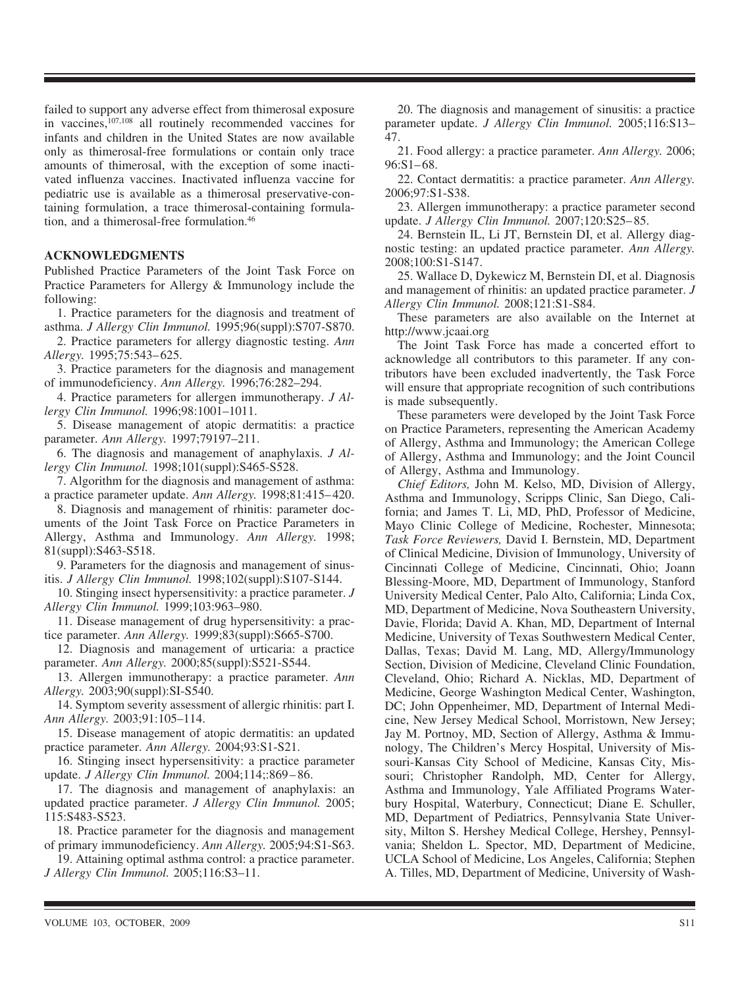failed to support any adverse effect from thimerosal exposure in vaccines,107,108 all routinely recommended vaccines for infants and children in the United States are now available only as thimerosal-free formulations or contain only trace amounts of thimerosal, with the exception of some inactivated influenza vaccines. Inactivated influenza vaccine for pediatric use is available as a thimerosal preservative-containing formulation, a trace thimerosal-containing formulation, and a thimerosal-free formulation.46

#### **ACKNOWLEDGMENTS**

Published Practice Parameters of the Joint Task Force on Practice Parameters for Allergy & Immunology include the following:

1. Practice parameters for the diagnosis and treatment of asthma. *J Allergy Clin Immunol.* 1995;96(suppl):S707-S870.

2. Practice parameters for allergy diagnostic testing. *Ann Allergy.* 1995;75:543– 625.

3. Practice parameters for the diagnosis and management of immunodeficiency. *Ann Allergy.* 1996;76:282–294.

4. Practice parameters for allergen immunotherapy. *J Allergy Clin Immunol.* 1996;98:1001–1011.

5. Disease management of atopic dermatitis: a practice parameter. *Ann Allergy.* 1997;79197–211.

6. The diagnosis and management of anaphylaxis. *J Allergy Clin Immunol.* 1998;101(suppl):S465-S528.

7. Algorithm for the diagnosis and management of asthma: a practice parameter update. *Ann Allergy.* 1998;81:415– 420.

8. Diagnosis and management of rhinitis: parameter documents of the Joint Task Force on Practice Parameters in Allergy, Asthma and Immunology. *Ann Allergy.* 1998; 81(suppl):S463-S518.

9. Parameters for the diagnosis and management of sinusitis. *J Allergy Clin Immunol.* 1998;102(suppl):S107-S144.

10. Stinging insect hypersensitivity: a practice parameter. *J Allergy Clin Immunol.* 1999;103:963–980.

11. Disease management of drug hypersensitivity: a practice parameter. *Ann Allergy.* 1999;83(suppl):S665-S700.

12. Diagnosis and management of urticaria: a practice parameter. *Ann Allergy.* 2000;85(suppl):S521-S544.

13. Allergen immunotherapy: a practice parameter. *Ann Allergy.* 2003;90(suppl):SI-S540.

14. Symptom severity assessment of allergic rhinitis: part I. *Ann Allergy.* 2003;91:105–114.

15. Disease management of atopic dermatitis: an updated practice parameter. *Ann Allergy.* 2004;93:S1-S21.

16. Stinging insect hypersensitivity: a practice parameter update. *J Allergy Clin Immunol.* 2004;114;:869 – 86.

17. The diagnosis and management of anaphylaxis: an updated practice parameter. *J Allergy Clin Immunol.* 2005; 115:S483-S523.

18. Practice parameter for the diagnosis and management of primary immunodeficiency. *Ann Allergy.* 2005;94:S1-S63.

19. Attaining optimal asthma control: a practice parameter. *J Allergy Clin Immunol.* 2005;116:S3–11.

20. The diagnosis and management of sinusitis: a practice parameter update. *J Allergy Clin Immunol.* 2005;116:S13– 47.

21. Food allergy: a practice parameter. *Ann Allergy.* 2006;  $96:S1-68.$ 

22. Contact dermatitis: a practice parameter. *Ann Allergy.* 2006;97:S1-S38.

23. Allergen immunotherapy: a practice parameter second update. *J Allergy Clin Immunol.* 2007;120:S25– 85.

24. Bernstein IL, Li JT, Bernstein DI, et al. Allergy diagnostic testing: an updated practice parameter. *Ann Allergy.* 2008;100:S1-S147.

25. Wallace D, Dykewicz M, Bernstein DI, et al. Diagnosis and management of rhinitis: an updated practice parameter. *J Allergy Clin Immunol.* 2008;121:S1-S84.

These parameters are also available on the Internet at http://www.jcaai.org

The Joint Task Force has made a concerted effort to acknowledge all contributors to this parameter. If any contributors have been excluded inadvertently, the Task Force will ensure that appropriate recognition of such contributions is made subsequently.

These parameters were developed by the Joint Task Force on Practice Parameters, representing the American Academy of Allergy, Asthma and Immunology; the American College of Allergy, Asthma and Immunology; and the Joint Council of Allergy, Asthma and Immunology.

*Chief Editors,* John M. Kelso, MD, Division of Allergy, Asthma and Immunology, Scripps Clinic, San Diego, California; and James T. Li, MD, PhD, Professor of Medicine, Mayo Clinic College of Medicine, Rochester, Minnesota; *Task Force Reviewers,* David I. Bernstein, MD, Department of Clinical Medicine, Division of Immunology, University of Cincinnati College of Medicine, Cincinnati, Ohio; Joann Blessing-Moore, MD, Department of Immunology, Stanford University Medical Center, Palo Alto, California; Linda Cox, MD, Department of Medicine, Nova Southeastern University, Davie, Florida; David A. Khan, MD, Department of Internal Medicine, University of Texas Southwestern Medical Center, Dallas, Texas; David M. Lang, MD, Allergy/Immunology Section, Division of Medicine, Cleveland Clinic Foundation, Cleveland, Ohio; Richard A. Nicklas, MD, Department of Medicine, George Washington Medical Center, Washington, DC; John Oppenheimer, MD, Department of Internal Medicine, New Jersey Medical School, Morristown, New Jersey; Jay M. Portnoy, MD, Section of Allergy, Asthma & Immunology, The Children's Mercy Hospital, University of Missouri-Kansas City School of Medicine, Kansas City, Missouri; Christopher Randolph, MD, Center for Allergy, Asthma and Immunology, Yale Affiliated Programs Waterbury Hospital, Waterbury, Connecticut; Diane E. Schuller, MD, Department of Pediatrics, Pennsylvania State University, Milton S. Hershey Medical College, Hershey, Pennsylvania; Sheldon L. Spector, MD, Department of Medicine, UCLA School of Medicine, Los Angeles, California; Stephen A. Tilles, MD, Department of Medicine, University of Wash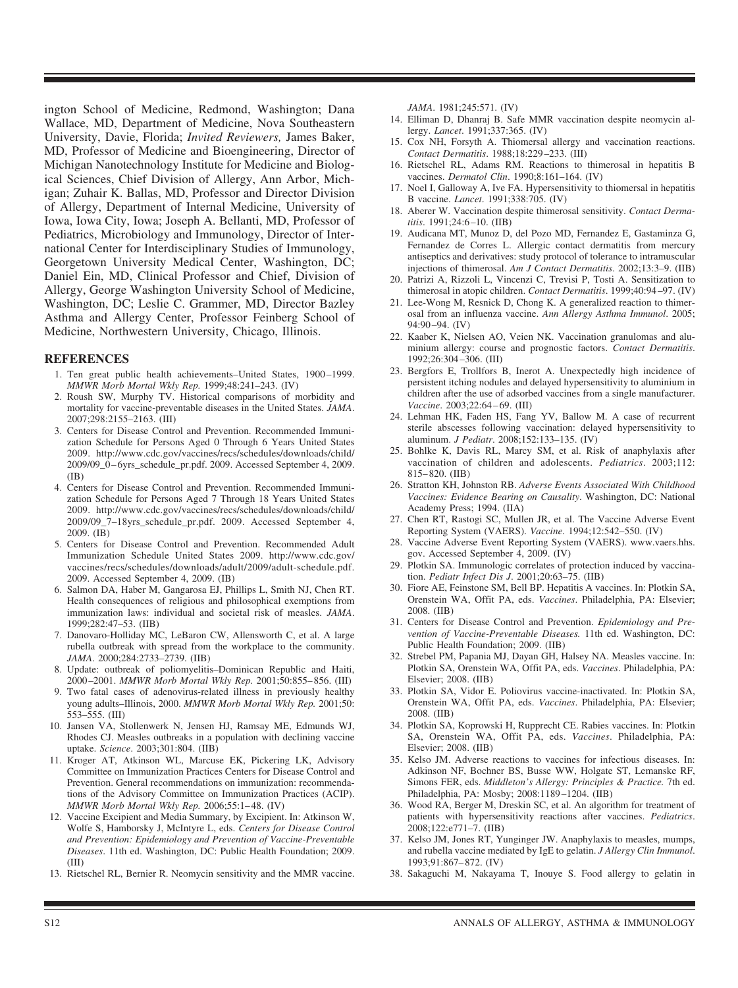ington School of Medicine, Redmond, Washington; Dana Wallace, MD, Department of Medicine, Nova Southeastern University, Davie, Florida; *Invited Reviewers,* James Baker, MD, Professor of Medicine and Bioengineering, Director of Michigan Nanotechnology Institute for Medicine and Biological Sciences, Chief Division of Allergy, Ann Arbor, Michigan; Zuhair K. Ballas, MD, Professor and Director Division of Allergy, Department of Internal Medicine, University of Iowa, Iowa City, Iowa; Joseph A. Bellanti, MD, Professor of Pediatrics, Microbiology and Immunology, Director of International Center for Interdisciplinary Studies of Immunology, Georgetown University Medical Center, Washington, DC; Daniel Ein, MD, Clinical Professor and Chief, Division of Allergy, George Washington University School of Medicine, Washington, DC; Leslie C. Grammer, MD, Director Bazley Asthma and Allergy Center, Professor Feinberg School of Medicine, Northwestern University, Chicago, Illinois.

#### **REFERENCES**

- 1. Ten great public health achievements–United States, 1900 –1999. *MMWR Morb Mortal Wkly Rep.* 1999;48:241–243. (IV)
- 2. Roush SW, Murphy TV. Historical comparisons of morbidity and mortality for vaccine-preventable diseases in the United States. *JAMA*. 2007;298:2155–2163. (III)
- 3. Centers for Disease Control and Prevention. Recommended Immunization Schedule for Persons Aged 0 Through 6 Years United States 2009. http://www.cdc.gov/vaccines/recs/schedules/downloads/child/ 2009/09\_0 – 6yrs\_schedule\_pr.pdf. 2009. Accessed September 4, 2009. (IB)
- 4. Centers for Disease Control and Prevention. Recommended Immunization Schedule for Persons Aged 7 Through 18 Years United States 2009. http://www.cdc.gov/vaccines/recs/schedules/downloads/child/ 2009/09\_7–18yrs\_schedule\_pr.pdf. 2009. Accessed September 4, 2009. (IB)
- 5. Centers for Disease Control and Prevention. Recommended Adult Immunization Schedule United States 2009. http://www.cdc.gov/ vaccines/recs/schedules/downloads/adult/2009/adult-schedule.pdf. 2009. Accessed September 4, 2009. (IB)
- 6. Salmon DA, Haber M, Gangarosa EJ, Phillips L, Smith NJ, Chen RT. Health consequences of religious and philosophical exemptions from immunization laws: individual and societal risk of measles. *JAMA*. 1999;282:47–53. (IIB)
- 7. Danovaro-Holliday MC, LeBaron CW, Allensworth C, et al. A large rubella outbreak with spread from the workplace to the community. *JAMA*. 2000;284:2733–2739. (IIB)
- 8. Update: outbreak of poliomyelitis–Dominican Republic and Haiti, 2000 –2001. *MMWR Morb Mortal Wkly Rep.* 2001;50:855– 856. (III)
- 9. Two fatal cases of adenovirus-related illness in previously healthy young adults–Illinois, 2000. *MMWR Morb Mortal Wkly Rep.* 2001;50: 553–555. (III)
- 10. Jansen VA, Stollenwerk N, Jensen HJ, Ramsay ME, Edmunds WJ, Rhodes CJ. Measles outbreaks in a population with declining vaccine uptake. *Science*. 2003;301:804. (IIB)
- 11. Kroger AT, Atkinson WL, Marcuse EK, Pickering LK, Advisory Committee on Immunization Practices Centers for Disease Control and Prevention. General recommendations on immunization: recommendations of the Advisory Committee on Immunization Practices (ACIP). *MMWR Morb Mortal Wkly Rep.* 2006;55:1– 48. (IV)
- 12. Vaccine Excipient and Media Summary, by Excipient. In: Atkinson W, Wolfe S, Hamborsky J, McIntyre L, eds. *Centers for Disease Control and Prevention: Epidemiology and Prevention of Vaccine-Preventable Diseases*. 11th ed. Washington, DC: Public Health Foundation; 2009. (III)
- 13. Rietschel RL, Bernier R. Neomycin sensitivity and the MMR vaccine.

*JAMA*. 1981;245:571. (IV)

- 14. Elliman D, Dhanraj B. Safe MMR vaccination despite neomycin allergy. *Lancet*. 1991;337:365. (IV)
- 15. Cox NH, Forsyth A. Thiomersal allergy and vaccination reactions. *Contact Dermatitis*. 1988;18:229 –233. (III)
- 16. Rietschel RL, Adams RM. Reactions to thimerosal in hepatitis B vaccines. *Dermatol Clin*. 1990;8:161–164. (IV)
- 17. Noel I, Galloway A, Ive FA. Hypersensitivity to thiomersal in hepatitis B vaccine. *Lancet*. 1991;338:705. (IV)
- 18. Aberer W. Vaccination despite thimerosal sensitivity. *Contact Dermatitis*. 1991;24:6 –10. (IIB)
- 19. Audicana MT, Munoz D, del Pozo MD, Fernandez E, Gastaminza G, Fernandez de Corres L. Allergic contact dermatitis from mercury antiseptics and derivatives: study protocol of tolerance to intramuscular injections of thimerosal. *Am J Contact Dermatitis*. 2002;13:3–9. (IIB)
- 20. Patrizi A, Rizzoli L, Vincenzi C, Trevisi P, Tosti A. Sensitization to thimerosal in atopic children. *Contact Dermatitis*. 1999;40:94 –97. (IV)
- 21. Lee-Wong M, Resnick D, Chong K. A generalized reaction to thimerosal from an influenza vaccine. *Ann Allergy Asthma Immunol*. 2005; 94:90 –94. (IV)
- 22. Kaaber K, Nielsen AO, Veien NK. Vaccination granulomas and aluminium allergy: course and prognostic factors. *Contact Dermatitis*. 1992;26:304 –306. (III)
- 23. Bergfors E, Trollfors B, Inerot A. Unexpectedly high incidence of persistent itching nodules and delayed hypersensitivity to aluminium in children after the use of adsorbed vaccines from a single manufacturer. *Vaccine*. 2003;22:64 – 69. (III)
- 24. Lehman HK, Faden HS, Fang YV, Ballow M. A case of recurrent sterile abscesses following vaccination: delayed hypersensitivity to aluminum. *J Pediatr*. 2008;152:133–135. (IV)
- 25. Bohlke K, Davis RL, Marcy SM, et al. Risk of anaphylaxis after vaccination of children and adolescents. *Pediatrics*. 2003;112: 815– 820. (IIB)
- 26. Stratton KH, Johnston RB. *Adverse Events Associated With Childhood Vaccines: Evidence Bearing on Causality*. Washington, DC: National Academy Press; 1994. (IIA)
- 27. Chen RT, Rastogi SC, Mullen JR, et al. The Vaccine Adverse Event Reporting System (VAERS). *Vaccine*. 1994;12:542–550. (IV)
- 28. Vaccine Adverse Event Reporting System (VAERS). www.vaers.hhs. gov. Accessed September 4, 2009. (IV)
- 29. Plotkin SA. Immunologic correlates of protection induced by vaccination. *Pediatr Infect Dis J*. 2001;20:63–75. (IIB)
- 30. Fiore AE, Feinstone SM, Bell BP. Hepatitis A vaccines. In: Plotkin SA, Orenstein WA, Offit PA, eds. *Vaccines*. Philadelphia, PA: Elsevier; 2008. (IIB)
- 31. Centers for Disease Control and Prevention. *Epidemiology and Prevention of Vaccine-Preventable Diseases.* 11th ed. Washington, DC: Public Health Foundation; 2009. (IIB)
- 32. Strebel PM, Papania MJ, Dayan GH, Halsey NA. Measles vaccine. In: Plotkin SA, Orenstein WA, Offit PA, eds. *Vaccines*. Philadelphia, PA: Elsevier; 2008. (IIB)
- 33. Plotkin SA, Vidor E. Poliovirus vaccine-inactivated. In: Plotkin SA, Orenstein WA, Offit PA, eds. *Vaccines*. Philadelphia, PA: Elsevier; 2008. (IIB)
- 34. Plotkin SA, Koprowski H, Rupprecht CE. Rabies vaccines. In: Plotkin SA, Orenstein WA, Offit PA, eds. *Vaccines*. Philadelphia, PA: Elsevier; 2008. (IIB)
- 35. Kelso JM. Adverse reactions to vaccines for infectious diseases. In: Adkinson NF, Bochner BS, Busse WW, Holgate ST, Lemanske RF, Simons FER, eds. *Middleton's Allergy: Principles & Practice.* 7th ed. Philadelphia, PA: Mosby; 2008:1189 –1204. (IIB)
- 36. Wood RA, Berger M, Dreskin SC, et al. An algorithm for treatment of patients with hypersensitivity reactions after vaccines. *Pediatrics*. 2008;122:e771–7. (IIB)
- 37. Kelso JM, Jones RT, Yunginger JW. Anaphylaxis to measles, mumps, and rubella vaccine mediated by IgE to gelatin. *J Allergy Clin Immunol*. 1993;91:867– 872. (IV)
- 38. Sakaguchi M, Nakayama T, Inouye S. Food allergy to gelatin in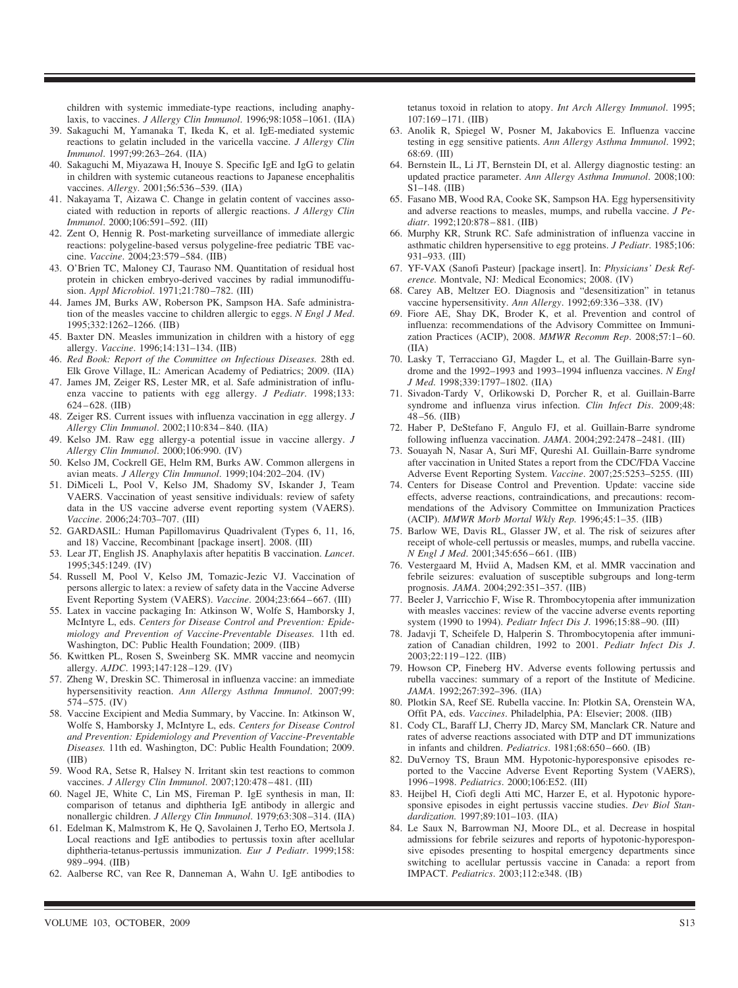children with systemic immediate-type reactions, including anaphylaxis, to vaccines. *J Allergy Clin Immunol*. 1996;98:1058 –1061. (IIA)

- 39. Sakaguchi M, Yamanaka T, Ikeda K, et al. IgE-mediated systemic reactions to gelatin included in the varicella vaccine. *J Allergy Clin Immunol*. 1997;99:263–264. (IIA)
- 40. Sakaguchi M, Miyazawa H, Inouye S. Specific IgE and IgG to gelatin in children with systemic cutaneous reactions to Japanese encephalitis vaccines. *Allergy*. 2001;56:536 –539. (IIA)
- 41. Nakayama T, Aizawa C. Change in gelatin content of vaccines associated with reduction in reports of allergic reactions. *J Allergy Clin Immunol*. 2000;106:591–592. (III)
- 42. Zent O, Hennig R. Post-marketing surveillance of immediate allergic reactions: polygeline-based versus polygeline-free pediatric TBE vaccine. *Vaccine*. 2004;23:579 –584. (IIB)
- 43. O'Brien TC, Maloney CJ, Tauraso NM. Quantitation of residual host protein in chicken embryo-derived vaccines by radial immunodiffusion. *Appl Microbiol*. 1971;21:780 –782. (III)
- 44. James JM, Burks AW, Roberson PK, Sampson HA. Safe administration of the measles vaccine to children allergic to eggs. *N Engl J Med*. 1995;332:1262–1266. (IIB)
- 45. Baxter DN. Measles immunization in children with a history of egg allergy. *Vaccine*. 1996;14:131–134. (IIB)
- 46. *Red Book: Report of the Committee on Infectious Diseases.* 28th ed. Elk Grove Village, IL: American Academy of Pediatrics; 2009. (IIA)
- 47. James JM, Zeiger RS, Lester MR, et al. Safe administration of influenza vaccine to patients with egg allergy. *J Pediatr*. 1998;133: 624 – 628. (IIB)
- 48. Zeiger RS. Current issues with influenza vaccination in egg allergy. *J Allergy Clin Immunol*. 2002;110:834 – 840. (IIA)
- 49. Kelso JM. Raw egg allergy-a potential issue in vaccine allergy. *J Allergy Clin Immunol*. 2000;106:990. (IV)
- 50. Kelso JM, Cockrell GE, Helm RM, Burks AW. Common allergens in avian meats. *J Allergy Clin Immunol*. 1999;104:202–204. (IV)
- 51. DiMiceli L, Pool V, Kelso JM, Shadomy SV, Iskander J, Team VAERS. Vaccination of yeast sensitive individuals: review of safety data in the US vaccine adverse event reporting system (VAERS). *Vaccine*. 2006;24:703–707. (III)
- 52. GARDASIL: Human Papillomavirus Quadrivalent (Types 6, 11, 16, and 18) Vaccine, Recombinant [package insert]. 2008. (III)
- 53. Lear JT, English JS. Anaphylaxis after hepatitis B vaccination. *Lancet*. 1995;345:1249. (IV)
- 54. Russell M, Pool V, Kelso JM, Tomazic-Jezic VJ. Vaccination of persons allergic to latex: a review of safety data in the Vaccine Adverse Event Reporting System (VAERS). *Vaccine*. 2004;23:664 – 667. (III)
- 55. Latex in vaccine packaging In: Atkinson W, Wolfe S, Hamborsky J, McIntyre L, eds. *Centers for Disease Control and Prevention: Epidemiology and Prevention of Vaccine-Preventable Diseases.* 11th ed. Washington, DC: Public Health Foundation; 2009. (IIB)
- 56. Kwittken PL, Rosen S, Sweinberg SK. MMR vaccine and neomycin allergy. *AJDC*. 1993;147:128 –129. (IV)
- 57. Zheng W, Dreskin SC. Thimerosal in influenza vaccine: an immediate hypersensitivity reaction. *Ann Allergy Asthma Immunol*. 2007;99: 574 –575. (IV)
- 58. Vaccine Excipient and Media Summary, by Vaccine. In: Atkinson W, Wolfe S, Hamborsky J, McIntyre L, eds. *Centers for Disease Control and Prevention: Epidemiology and Prevention of Vaccine-Preventable Diseases.* 11th ed. Washington, DC: Public Health Foundation; 2009.  $(IIB)$
- 59. Wood RA, Setse R, Halsey N. Irritant skin test reactions to common vaccines. *J Allergy Clin Immunol*. 2007;120:478 – 481. (III)
- 60. Nagel JE, White C, Lin MS, Fireman P. IgE synthesis in man, II: comparison of tetanus and diphtheria IgE antibody in allergic and nonallergic children. *J Allergy Clin Immunol*. 1979;63:308 –314. (IIA)
- 61. Edelman K, Malmstrom K, He Q, Savolainen J, Terho EO, Mertsola J. Local reactions and IgE antibodies to pertussis toxin after acellular diphtheria-tetanus-pertussis immunization. *Eur J Pediatr*. 1999;158: 989 –994. (IIB)
- 62. Aalberse RC, van Ree R, Danneman A, Wahn U. IgE antibodies to

tetanus toxoid in relation to atopy. *Int Arch Allergy Immunol*. 1995; 107:169 –171. (IIB)

- 63. Anolik R, Spiegel W, Posner M, Jakabovics E. Influenza vaccine testing in egg sensitive patients. *Ann Allergy Asthma Immunol*. 1992; 68:69. (III)
- 64. Bernstein IL, Li JT, Bernstein DI, et al. Allergy diagnostic testing: an updated practice parameter. *Ann Allergy Asthma Immunol*. 2008;100: S1–148. (IIB)
- 65. Fasano MB, Wood RA, Cooke SK, Sampson HA. Egg hypersensitivity and adverse reactions to measles, mumps, and rubella vaccine. *J Pediatr*. 1992;120:878 – 881. (IIB)
- 66. Murphy KR, Strunk RC. Safe administration of influenza vaccine in asthmatic children hypersensitive to egg proteins. *J Pediatr*. 1985;106: 931–933. (III)
- 67. YF-VAX (Sanofi Pasteur) [package insert]. In: *Physicians' Desk Reference.* Montvale, NJ: Medical Economics; 2008. (IV)
- 68. Carey AB, Meltzer EO. Diagnosis and "desensitization" in tetanus vaccine hypersensitivity. *Ann Allergy*. 1992;69:336 –338. (IV)
- 69. Fiore AE, Shay DK, Broder K, et al. Prevention and control of influenza: recommendations of the Advisory Committee on Immunization Practices (ACIP), 2008. *MMWR Recomm Rep*. 2008;57:1– 60.  $(IIA)$
- 70. Lasky T, Terracciano GJ, Magder L, et al. The Guillain-Barre syndrome and the 1992–1993 and 1993–1994 influenza vaccines. *N Engl J Med*. 1998;339:1797–1802. (IIA)
- 71. Sivadon-Tardy V, Orlikowski D, Porcher R, et al. Guillain-Barre syndrome and influenza virus infection. *Clin Infect Dis*. 2009;48: 48 –56. (IIB)
- 72. Haber P, DeStefano F, Angulo FJ, et al. Guillain-Barre syndrome following influenza vaccination. *JAMA*. 2004;292:2478 –2481. (III)
- 73. Souayah N, Nasar A, Suri MF, Qureshi AI. Guillain-Barre syndrome after vaccination in United States a report from the CDC/FDA Vaccine Adverse Event Reporting System. *Vaccine*. 2007;25:5253–5255. (III)
- 74. Centers for Disease Control and Prevention. Update: vaccine side effects, adverse reactions, contraindications, and precautions: recommendations of the Advisory Committee on Immunization Practices (ACIP). *MMWR Morb Mortal Wkly Rep.* 1996;45:1–35. (IIB)
- 75. Barlow WE, Davis RL, Glasser JW, et al. The risk of seizures after receipt of whole-cell pertussis or measles, mumps, and rubella vaccine. *N Engl J Med*. 2001;345:656 – 661. (IIB)
- 76. Vestergaard M, Hviid A, Madsen KM, et al. MMR vaccination and febrile seizures: evaluation of susceptible subgroups and long-term prognosis. *JAMA*. 2004;292:351–357. (IIB)
- 77. Beeler J, Varricchio F, Wise R. Thrombocytopenia after immunization with measles vaccines: review of the vaccine adverse events reporting system (1990 to 1994). *Pediatr Infect Dis J*. 1996;15:88 –90. (III)
- 78. Jadavji T, Scheifele D, Halperin S. Thrombocytopenia after immunization of Canadian children, 1992 to 2001. *Pediatr Infect Dis J*. 2003;22:119 –122. (IIB)
- 79. Howson CP, Fineberg HV. Adverse events following pertussis and rubella vaccines: summary of a report of the Institute of Medicine. *JAMA*. 1992;267:392–396. (IIA)
- 80. Plotkin SA, Reef SE. Rubella vaccine. In: Plotkin SA, Orenstein WA, Offit PA, eds. *Vaccines*. Philadelphia, PA: Elsevier; 2008. (IIB)
- 81. Cody CL, Baraff LJ, Cherry JD, Marcy SM, Manclark CR. Nature and rates of adverse reactions associated with DTP and DT immunizations in infants and children. *Pediatrics*. 1981;68:650 – 660. (IB)
- 82. DuVernoy TS, Braun MM. Hypotonic-hyporesponsive episodes reported to the Vaccine Adverse Event Reporting System (VAERS), 1996 –1998. *Pediatrics*. 2000;106:E52. (III)
- 83. Heijbel H, Ciofi degli Atti MC, Harzer E, et al. Hypotonic hyporesponsive episodes in eight pertussis vaccine studies. *Dev Biol Standardization.* 1997;89:101–103. (IIA)
- 84. Le Saux N, Barrowman NJ, Moore DL, et al. Decrease in hospital admissions for febrile seizures and reports of hypotonic-hyporesponsive episodes presenting to hospital emergency departments since switching to acellular pertussis vaccine in Canada: a report from IMPACT. *Pediatrics*. 2003;112:e348. (IB)